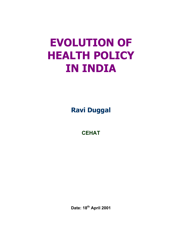# **EVOLUTION OF HEALTH POLICY IN INDIA**

**Ravi Duggal**

**CEHAT** 

**Date: 18th April 2001**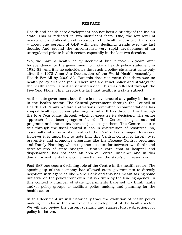#### **PREFACE**

Health and health care development has not been a priority of the Indian state. This is reflected in two significant facts. One, the low level of investment and allocation of resources to the health sector over the years – about one percent of GDP with clear declining trends over the last decade. And second the uncontrolled very rapid development of an unregulated private health sector, especially in the last two decades.

Yes, we have a health policy document but it took 35 years after Independence for the government to make a health policy statement in 1982-83. And it is no coincidence that such a policy statement came only after the 1978 Alma Ata Declaration of the World Health Assembly – Health For All by 2000 AD. But this does not mean that there was no health policy all these years. There was a distinct policy and strategy for the health sector, albeit an unwritten one. This was reflected through the Five Year Plans. This, despite the fact that health is a state subject.

At the state government level there is no evidence of any policy initiatives in the health sector. The Central government through the Council of Health and Family Welfare and various Committee recommendations has shaped health policy and planning in India. It has directed this through the Five Year Plans through which it executes its decisions. The entire approach has been program based. The Centre designs national programs and the states have to just accept them. The Centre assures this through the fiscal control it has in distribution of resources. So, essentially what is a state subject the Centre takes major decisions. However it is important to note that this Central control is largely over preventive and promotive programs like the Disease Control programs and Family Planning, which together account for between two-thirds and three-fourths of state budgets. Curative care, that is hospital and dispensaries, has not been an area of Central influence and in this domain investments have come mostly from the state's own resources.

Post-SAP one sees a declining role of the Centre in the health sector. The opening up of the economy has allowed state governments to directly negotiate with agencies like World Bank and this has meant taking some initiative on the policy front even if it is driven by the lending agency. In this context a number of state governments have set up think tanks and/or policy groups to facilitate policy making and planning for the health sector.

In this document we will historically trace the evolution of health policy making in India in the context of the development of the health sector. We will also review the current scenario and suggest future directions for policy initiatives.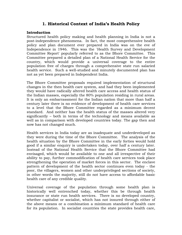# **1. Historical Context of India's Health Policy**

### **Introduction**

Structured health policy making and health planning in India is not a post-independence phenomena. In fact, the most comprehensive health policy and plan document ever prepared in India was on the eve of Independence in 1946. This was the `Health Survey and Development Committee Report' popularly referred to as the Bhore Committee. This Committee prepared a detailed plan of a National Health Service for the country, which would provide a universal coverage to the entire population free of charges through a comprehensive state run salaried health service. Such a well-studied and minutely documented plan has not as yet been prepared in Independent India.

The Bhore Committee proposals required implementation of structural changes in the then health care system, and had they been implemented they would have radically altered health care access and health status of the Indian masses, especially the 80% population residing in rural areas. It is only an embarrassment for the Indian nation that more than half a century later there is no evidence of development of health care services to a level that the Bhore Committee regarded as a minimum decent standard. And neither has the health status of the masses altered very significantly – both in terms of the technology and means available as well as in comparison with developed countries today. The gap then and now has not changed much.

Health services in India today are as inadequate and underdeveloped as they were during the time of the Bhore Committee. The analysis of the health situation by the Bhore Committee in the early forties would hold good if a similar enquiry is undertaken today, over half a century later. Instead of the National Health Service that the Bhore Committee had envisaged, which would be available to one and all irrespective of their ability to pay, further commodification of health care services took place strengthening the operation of market forces in this sector. The enclave pattern of development of the health sector continues even today - the poor, the villagers, women and other underprivileged sections of society, in other words the majority, still do not have access to affordable basic health care of any credible quality.

Universal coverage of the population through some health plan is historically well entrenched today, whether this be through health insurance or state run health services. There is no developed country, whether capitalist or socialist, which has not insured through either of the above means or a combination a minimum standard of health care for its population. In socialist countries the state provides health care,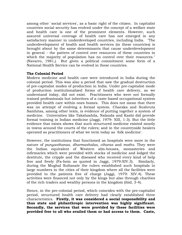among other `social services', as a basic right of the citizen. In capitalist countries social security has evolved under the concept of a welfare state and health care is one of the prominent elements. However, such assured universal coverage of health care has not emerged in any satisfactory manner in underdeveloped countries, including India. "The underdevelopment of health and health services (in these countries) is brought about by the same determinants that cause underdevelopment in general - the pattern of control over resources of these countries in which the majority of population has no control over their resources." (Navarro, 1981,) But given a political commitment some form of a National Health Service can be evolved in these countries.

## **The Colonial Period**

Modern medicine and health care were introduced in India during the colonial period. This was also a period that saw the gradual destruction of pre-capitalist modes of production in India. Under pre-capitalist mode of production institutionalized forms of health care delivery, as we understand today, did not exist. Practitioners who were not formally trained professionals but inheritors of a caste-based occupational system provided health care within ones homes. This does not mean that there was no attempt of evolving a formal system. Charaka and Sushruta Samhitas, among other texts, is evidence of putting together a system of medicine. Universities like Takshashila, Nalanda and Kashi did provide formal training in Indian medicine (Jaggi, 1979: XIII, 1-3). But the little evidence that exists shows that such structured medicine existed mostly in towns around the courts of the rulers; and in the countryside healers operated as practitioners of what we term today as `folk medicine'.

However, the institutions that functioned as hospitals were more in the nature of *punyasthanas, dharmashalas, viharas* and *maths*. They were the Indian equivalent of Western alm-houses, monasteries and infirmaries which were provided with stocks of medicine and lodged the destitute, the cripple and the diseased who received every kind of help free and freely (Fa-hein as quoted in Jaggi, 1979:XIV.3). Similarly, during the Mughal Sultanate the rulers established such hospitals in large numbers in the cities of their kingdom where all the facilities were provided to the patients free of charge (Jaggi, 1979: XIV.4). These activities were financed not only by the kings but also through charities of the rich traders and wealthy persons in the kingdom (ibid, 3-4).

Hence, in the pre-colonial period, which coincides with the pre-capitalist period, structured health care delivery had clearly established three characteristics. **Firstly, it was considered a social responsibility and thus state and philanthropic intervention was highly significant. Secondly, the services that were provided by these facilities were provided free to all who availed them or had access to them. Caste,**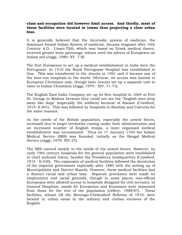#### **class and occupation did however limit access. And thirdly, most of these facilities were located in towns thus projecting a clear urban bias.**

It is generally believed that the Ayurvedic system of medicine, the dominant formal Indian System of medicine, became stagnant after 10th Century A.D. Unani-Tibb, which was based on Greek medical theory, received greater state patronage, atleast until the advent of Europeans on Indian soil (Jaggi, 1980: XV. 7-8).

The first Europeans to set up a medical establishment in India were the Portuguese. In 1510 the Royal Portuguese Hospital was established in Goa. This was transferred to the Jesuits in 1591 and it became one of the best-run hospitals in the world. Ofcourse, its access was limited to European Christians only, though later Jesuits set up a separate unit to cater to Indian Christians (Jaggi, 1979 : XIV. 71-73).

The English East India Company set up its first hospital in 1664 at Fort St. George in Madras because they could not see the "English men drop away like dogs" (especially the soldiers) because of disease (Crawford, 1914: II.401). This was followed by hospitals in Bombay and Calcutta for the same reasons.

As the needs of the British population, especially the armed forces, increased due to larger territories coming under their administration and an increased number of English troops, a more organized medical establishment was necessitated. Thus on  $1<sup>st</sup>$  January 1764 the Indian Medical Service (IMS) was founded, initially as the Bengal Medical Service (Jaggi, 1979: XIV.27).

The IMS catered mostly to the needs of the armed forces. However, by early 19th century hospitals for the general population were established in chief mofussil towns, besides the Presidency headquarters (Crawford, 1914 : II.430). The expansion of medical facilities followed the devolution of the imperial government especially after 1880 with the setting up of Municipalities and District Boards. However, these medical facilities had a distinct racial and urban bias. Separate provisions were made on employment and racial grounds, though in some places non-official Europeans were allowed access to hospitals designed for civil servants. In General Hospitals, wards for Europeans and Eurasians were separated from those for the rest of the population (Jeffery, 1988:87). These facilities, atleast till the Montagu-Chelmsford Reforms of 1919, were located in urban areas in the military and civilian enclaves of the English.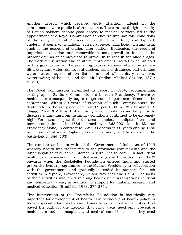Another aspect, which received early attention, atleast in the cantonments, were public health measures. The continued high mortality of British soldiers despite good access to medical services led to the appointment of a Royal Commission to enquire into sanitary conditions of the army in 1859. "Fevers, intermittent, remittent, and typhoid, cholera, dysentery, smallpox, spleen disease, diarrhoea, rheumatism, such is the account of station after station. Epidemics, the result of imperfect civilization and removable causes prevail in India at the present day, as epidemics used to prevail in Europe in the Middle Ages. The work of civilization and sanitary improvement has yet to be initiated in this great country. The prevailing causes are everywhere the same – filth, stagnant water, damp, foul ditches, want of drainage, bad drinking water, utter neglect of ventilation and of all sanitary measures, overcrowding of houses, and foul air." (Indian Medical Gazette, 1871: VI.214)

The Royal Commission submitted its report in 1864, recommending setting up of Sanitary Commissioners in each Presidency. Preventive health care consequently began to get some importance atleast in the cantoments. Within 30 years of creation of such Commissioners the death rate in the army declined from 69 per 1000 in 1857 to about 16 (Jaggi, 1979: XIV.105). But in the general population mortality due to diseases emanating from insanitary conditions continued to be extremely high. For instance, just four diseases – cholera, smallpox, fevers and bowel complaints - in 1886 claimed over 368,000 lives in Madras Presidency alone, in contrast to 368,000 deaths in 50 years ending 1886 from four countries – England, France, Germany and Austria - on the battle-fields! (Ibid: 103).

The rural areas had to wait till the Government of India Act of 1919 whereby health was transferred to the provincial governments and the latter began to take some interest in rural health care. In fact, rural health care expansion in a limited way began in India first from 1920 onwards when the Rockefeller Foundation entered India and started preventive health programmes in the Madras Presidency in collaboration with the government, and gradually extended its support for such activities in Mysore, Travancore, United Provinces and Delhi. The focus of their activities was on developing health unit organizations in rural and semi-rural areas, in addition to support for malaria research and medical education (Bradfield, 1938: 274-275).

This intervention of the Rockefeller Foundation is historically very important for development of health care services and health policy in India, especially for rural areas. It may be considered a watershed that paved the path for the ideology that rural areas need only preventive health care and not hospitals and medical care clinics, i.e., they need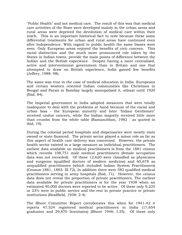"Public Health" and not medical care. The result of this was that medical care activities of the State were developed mainly in the urban areas and rural areas were deprived the devolution of medical care within their reach. This is an important historical fact to note because these same differential treatments for urban and rural areas have continued even after Independence. With regard to public health the same biases were seen. Only European areas enjoyed the benefits of civic concern. This racial distinction and the much more pronounced role taken by the States in Indian towns, provide the main points of difference between the Indian and the British experience. Despite having a more centralized, active and interventionist government than in Britain and one that attempted to draw on British experience, India gained few benefits (Jeffery, 1988: 98).

The same was true in the case of medical education in India. Europeans and certain western oriented Indian communities like Christians in Bengal and Parsis in Bombay largely monopolized it, atleast until 1920 (Ibid, 84).

The Imperial government in India adopted measures that were totally inadequate to deal with the problems at hand because of the racial and urban bias - the European minority and later "Indian Gentlemen" received undue concern, while the Indian majority received little more than crumbs from the white table (Ramasubban, 1982 : as quoted in ibid, 19).

During the colonial period hospitals and dispensaries were mostly state owned or state financed. The private sector played a minor role as far as this aspect of health care delivery was concerned. However, the private health sector existed in a large measure as individual practitioners. The earliest data available on medical practitioners is from the 1881 census which records 108,751 male medical practitioners (female occupation data was not recorded). Of these 12,620 were classified as physicians and surgeons (qualified doctors of modern medicine) and 60,678 as unqualified practitioners (which included Indian System Practitioners) (Census-1881, 1883: III.72). In addition there were 582 qualified medical practitioners serving in army hospitals (Ibid, 71). However, the census data does not reveal the proportion of private practitioners. The earliest data available for private practitioners is for the year 1938 when an estimated 40,000 doctors were reported to be active. Of these only 9,225 or 23% were in public service and the rest in private practice or private institutions (Bradfield, 1938: 2-4).

The Bhore Committee Report corroborates this when for 1941-42 it reports 47,524 registered medical practitioners in India (17,654 graduates and 29,870 licentiates) (Bhore 1946: I.35). Of these only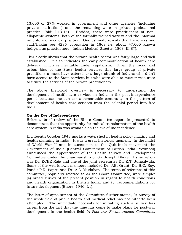13,000 or 27% worked in government and other agencies (including private institutions) and the remaining were in private professional practice (Ibid: I.13-14). Besides, there were practitioners of nonallopathic systems, both of the formally trained variety and the informal inheritors of medical practice. One estimate reveals that there was one vaid/hakim per 4285 population in 1868 i.e. about 47,000 known indigenous practitioners (Indian Medical Gazette, 1868: III.87).

This clearly shows that the private health sector was fairly large and well established. It also indicates the early commodification of health care delivery, which is inevitable under capitalism. Given the racial and urban bias of the State health services this large group of private practitioners must have catered to a large chunk of Indians who didn't have access to the State services but who were able to muster resources to utilize the services of the private practitioners.

The above historical overview is necessary to understand the development of health care services in India in the post-independence period because one can see a remarkable continuity in the pattern of development of health care services from the colonial period into free India.

#### **On the Eve of Independence**

Below a brief review of the Bhore Committee report is presented to demonstrate that the opportunity for radical transformation of the health care system in India was available on the eve of Independence.

Eighteenth October 1943 marks a watershed in health policy making and health planning in India. It was a great historical moment. In the midst of World War II and in succession to the Quit-India movement the Government of India (Central Government of British India Provinces) announced the appointment of the Health Survey and Development Committee under the chairmanship of Sir Joseph Bhore. Its secretary was Dr. KCKE Raja and one of the joint secretaries Dr. K.T. Jungalwala. Some of the well-known members included Dr. J.B. Grant, Dr. B.C. Roy, Pandit P.N. Sapru and Dr. A.L. Mudaliar. The terms of reference of this committee, popularly referred to as the Bhore Committee, were simple: (a) broad survey of the present position in regard to health conditions and health organization in British India, and (b) recommendations for future development (Bhore, 1946, I.1).

The letter of appointment of the Committee further stated, "A survey of the whole field of public health and medical relief has not hitherto been attempted. The immediate necessity for initiating such a survey has arisen from the fact that the time has come to make plans for post-war development in the health field *(A Post-war Reconstruction Committee,*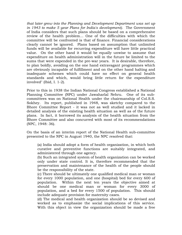*that later grew into the Planning and Development Department was set up in 1943 to make 5 year Plans for India's development).* The Government of India considers that such plans should be based on a comprehensive review of the health problem… One of the difficulties with which the committee will be confronted is that of finance. Financial considerations clearly cannot be ignored. Plans based on assumption that unlimited funds will be available for recurring expenditure will have little practical value. On the other hand it would be equally unwise to assume that expenditure on health administration will in the future be limited to the sums that were expended in the pre-war years. It is desirable, therefore, to plan boldly, avoiding on the one hand extravagant programmes which are obviously incapable of fulfillment and on the other hand halting and inadequate schemes which could have no effect on general health standards and which, would bring little return for the expenditure involved" (Ibid, I. 1-2).

Prior to this in 1938 the Indian National Congress established a National Planning Committee (NPC) under Jawaharlal Nehru. One of its subcommittees was on National Health under the chairmanship of Col.S.S. Sokhey. Its report, published in 1948, was sketchy compared to the Bhore Committee Report - it was not as well studied and it lacked in detailed analysis of the existing health situation as well as of the future plans. In fact, it borrowed its analysis of the health situation from the Bhore Committee and also concurred with most of its recommendations (NPC, 1948: 36).

On the basis of an interim report of the National Health sub-committee presented to the NPC in August 1940, the NPC resolved that:

(a) India should adopt a form of health organization, in which both curative and preventive functions are suitably integrated, and administered through one agency.

(b) Such an integrated system of health organization can be worked only under state control. It is, therefore recommended that the preservation and maintenance of the health of the people should be the responsibility of the state.

(c) There should be ultimately one qualified medical man or woman for every 1000 population, and one (hospital) bed for every 600 of population. Within the next ten years the objective aimed at should be one medical man or woman for every 3000 of population, and a bed for every 1500 of population. This should include adequate provision for maternity cases.

(d) The medical and health organization should be so devised and worked as to emphasize the social implications of this service. With this object in view the organization should be made a free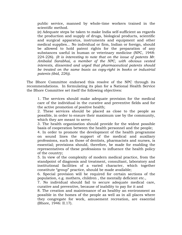public service, manned by whole-time workers trained in the scientific method.

(e) Adequate steps be taken to make India self-sufficient as regards the production and supply of drugs, biological products, scientific and surgical apparatus, instruments and equipment and other medical supplies... No individual or firm, Indian or foreign, should be allowed to hold patent rights for the preparation of any substances useful in human or veterinary medicine (NPC, 1948: 224-226). *(It is interesting to note that on the issue of patents Mr. Ambalal Sarabhai, a member of the NPC, with obvious vested interests, dissented and urged that pharmaceutical patents should be treated on the same basis as copy-right in books or industrial patents (ibid, 226))*.

The Bhore Committee endorsed this resolve of the NPC through its recommendations. In formulating its plan for a National Health Service the Bhore Committee set itself the following objectives:

1. The services should make adequate provision for the medical care of the individual in the curative and preventive fields and for the active promotion of positive health;

2. These services should be placed as close to the people as possible, in order to ensure their maximum use by the community, which they are meant to serve;

3. The health organization should provide for the widest possible basis of cooperation between the health personnel and the people;

4. In order to promote the development of the health programme on sound lines the support of the medical and auxiliary professions, such as those of dentists, pharmacists and nurses, is essential; provisions should, therefore, be made for enabling the representatives of these professions to influence the health policy of the country;

5. In view of the complexity of modern medical practice, from the standpoint of diagnosis and treatment, consultant, laboratory and institutional facilities of a varied character, which together constitute "group" practice, should be made available;

6. Special provision will be required for certain sections of the population, e.g. mothers, children , the mentally deficient etc.,

7. No individual should fail to secure adequate medical care, curative and preventive, because of inability to pay for it and

8. The creation and maintenance of as healthy an environment as possible in the homes of the people as well as in all places where they congregate for work, amusement recreation, are essential (Bhore, 1946: II.17).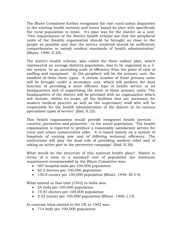The Bhore Committee further recognized the vast rural-urban disparities in the existing health services and hence based its plan with specifically the rural population in mind. It's plan was for the district as a unit. "Two requirements of the district health scheme are that the peripheral units of the (health) organization should be brought as close to the people as possible and that the service rendered should be sufficiently comprehensive to satisfy modern standards of health administration" (Bhore, 1946: II.22).

The district health scheme, also called the three million plan, which represented an average districts population, was to be organized in a 3 tier system "in an ascending scale of efficiency from the point of view of staffing and equipment. At the periphery will be the primary unit, the smallest of these three types. A certain number of these primary units will be brought under a secondary unit, which will perform the dual function of providing a more efficient type of health service at its headquarters and of supervising the work of these primary units. The headquarters of the district will be provided with an organization which will include, within its scope, all the facilities that are necessary for modern medical practice as well as the supervisory staff who will be responsible for the health administration of the district in its various specialized types of service" (Ibid, II.22).

This health organization would provide integrated health services curative, preventive and promotive - to the entire population. "The health organization is expected to produce a reasonably satisfactory service for rural and urban communities alike. It is based mainly on a system of hospitals of varying size and of differing technical efficiency. The institutions will play the dual role of providing medical relief and of taking an active part in the preventive campaign" (Ibid. II.30).

What would be the structure of this national health plan? Stated in terms of a ratio to a standard unit of population the minimum requirement recommended by the Bhore Committee was:

- 567 hospital beds per 100,000 population
- 62.3 doctors per 100,000 population
- 150.8 nurses per 100,000 population (Bhore, 1946: III.3-4)

What existed at that time (1942) in India was:

- 24 beds per 100,000 population
- 15.87 doctors per 100,000 population
- 2.32 nurses per 100,000 population (Bhore, 1946: I.13)

In contrast what existed in the UK in 1942 was:

• 714 beds per 100,000 population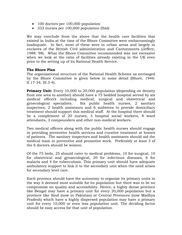- 100 doctors per 100,000 population
- 333 nurses per 100,000 population (Ibid)

We may conclude from the above that the health care facilities that existed in India at the time of the Bhore Committee were embarrassingly inadequate. In fact, most of these were in urban areas and largely in enclaves of the British Civil administration and Cantonments (Jeffery, 1988: 98). What the Bhore Committee recommended was not excessive when we look at the ratio of facilities already existing in the UK even prior to the setting up of its National Health Service.

#### **The Bhore Plan**

The organizational structure of the National Health Scheme as envisaged by the Bhore Committee is given below in some detail (Bhore, 1946: II.17-34, III.3-4).

**Primary Unit:** Every 10,000 to 20,000 population (depending on density from one area to another) should have a 75 bedded hospital served by six medical officers including medical, surgical and obstetrical and gynecological specialists. Six public health nurses, 2 sanitary inspectors, 2 health assistants and 6 midwives to provide domiciliary treatment should support this medical staff. At the hospital there should be a complement of 20 nurses, 3 hospital social workers, 8 ward attendants, 3 compounders and other non-medical workers.

Two medical officers along with the public health nurses should engage in providing preventive health services and curative treatment at homes of patients. The sanitary inspectors and health assistants should aid the medical team in preventive and promotive work. Preferably at least 3 of the 6 doctors should be women.

Of the 75 beds, 25 should cater to medical problems, 10 for surgical, 10 for obstetrical and gynaecological, 20 for infectious diseases, 6 for malaria and 4 for tuberculosis. This primary unit should have adequate ambulatory support to link it to the secondary unit when the need arises for secondary level care.

Each province should have the autonomy to organize its primary units in the way it deemed most suitable for its population but there was to be no compromise on quality and accessibility. Hence, a highly dense province like Bengal may have a primary unit for every 20,000 population but a province like Sind (now in Pakistan) or Central Provinces (now Madhya Pradesh) which have a highly dispersed population may have a primary unit for every 10,000 or even less population unit. The deciding factor should be easy access for that unit of population.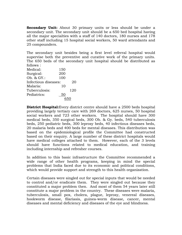**Secondary Unit:** About 30 primary units or less should be under a secondary unit. The secondary unit should be a 650 bed hospital having all the major specialties with a staff of 140 doctors, 180 nurses and 178 other staff including 15 hospital social workers, 50 ward attendants and 25 compounders.

The secondary unit besides being a first level referral hospital would supervise both the preventive and curative work of the primary units. The 650 beds of the secondary unit hospital should be distributed as follows :

| Medical:             | 150 |     |
|----------------------|-----|-----|
| Surgical:            | 200 |     |
| Ob. & GY.:           | 100 |     |
| Infectious diseases: |     | 20  |
| Malaria:             | 10  |     |
| Tuberculosis:        |     | 120 |
| Pediatrics:          | 50  |     |
|                      |     |     |

**District Hospital:**Every district centre should have a 2500 beds hospital providing largely tertiary care with 269 doctors, 625 nurses, 50 hospital social workers and 723 other workers. The hospital should have 300 medical beds, 350 surgical beds, 300 Ob. & Gy. beds, 540 tuberculosis beds, 250 pediatric beds, 300 leprosy beds, 40 infectious diseases beds, 20 malaria beds and 400 beds for mental diseases. This distribution was based on the epidemiological profile the Committee had constructed based on their enquiry. A large number of these district hospitals would have medical colleges attached to them. However, each of the 3 levels should have functions related to medical education, and training including internship and refresher courses.

In addition to this basic infrastructure the Committee recommended a wide range of other health programs, keeping in mind the special problems that India faced due to its economic and political conditions, which would provide support and strength to this health organization.

Certain diseases were singled out for special inputs that would be needed to control and/or eradicate them. They were singled out because they constituted a major problem then. And most of them 54 years later still constitute a major problem in the country. These diseases were malaria, tuberculosis, small pox, cholera, plague, leprosy, venereal diseases, hookworm disease, filariasis, guinea-worm disease, cancer, mental diseases and mental deficiency and diseases of the eye and blindness.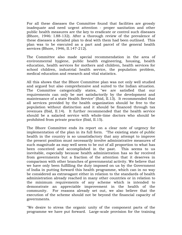For all these diseases the Committee found that facilities are grossly inadequate and need urgent attention - proper sanitation and other public health measures are the key to eradicate or control such diseases (Bhore, 1946: I.88-132). After a thorough review of the prevalence of these diseases a detailed plan to deal with them had been outlined. This plan was to be executed as a part and parcel of the general health services (Bhore, 1946, II.147-212).

The Committee also made special recommendation in the area of environmental hygiene, public health engineering, housing, health education, health services for mothers and children, health services for school children, industrial health service, the population problem, medical education and research and vital statistics.

All this shows that the Bhore Committee plan was not only well studied and argued but also comprehensive and suited to the Indian situation. The Committee categorically states, "we are satisfied that our requirements can only be met satisfactorily by the development and maintenance of a state Health Service" (Ibid, II.13). It recommended that all services provided by the health organization should be free to the population without distinction and it should be financed through tax revenues (Ibid, II.14). It further recommended that the health service should be a salaried service with whole-time doctors who should be prohibited from private practice (Ibid, II.15).

The Bhore Committee ends its report on a clear note of urgency for implementation of the plan in its full form. "The existing state of public health in the country is so unsatisfactory that any attempt to improve the present position must necessarily involve administrative measures of such magnitude as may well seem to be out of all proportion to what has been conceived and accomplished in the past. This seems to us inevitable, especially because health administration has so far received from governments but a fraction of the attention that it deserves in comparison with other branches of governmental activity. We believe that we have only been fulfilling the duty imposed on us by the Government of India in putting forward this health programme, which can in no way be considered as extravagant either in relation to the standards of health administration already reached in many other countries or in relation to the minimum requirements of any scheme which is intended to demonstrate an appreciable improvement in the health of the community. For reasons already set out, we also believe that the execution of the scheme should not be beyond the financial capacity of governments.

"We desire to stress the organic unity of the component parts of the programme we have put forward. Large-scale provision for the training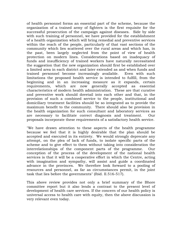of health personnel forms an essential part of the scheme, because the organization of a trained army of fighters is the first requisite for the successful prosecution of the campaign against diseases. Side by side with such training of personnel, we have provided for the establishment of a health organization which will bring remedial and preventive services within the reach of the people, particularly of that vast sections of the community which lies scattered over the rural areas and which has, in the past, been largely neglected from the point of view of health protection on modern lines. Considerations based on inadequacy of funds and insufficiency of trained workers have naturally necessitated the suggestion that the new organization should first be established over a limited area in each district and later extended as and when funds and trained personnel become increasingly available. Even with such limitations the proposed health service is intended to fulfill, from the beginning and in an increasing measure as it expands, certain requirements, which are now generally accepted as essential characteristics of modern health administration. These are that curative and preventive work should dovetail into each other and that, in the provision of such a combined service to the people, institutional and domiciliary treatment facilities should be so integrated as to provide the maximum benefit to the community. There should also be provision in the health organization for such consultant and laboratory services as are necessary to facilitate correct diagnosis and treatment. Our proposals incorporate these requirements of a satisfactory health service.

"We have drawn attention to these aspects of the health programme because we feel that it is highly desirable that the plan should be accepted and executed in its entirety. We would strongly deprecate any attempt, on the plea of lack of funds, to isolate specific parts of the scheme and to give effect to them without taking into consideration the interrelationships of the component parts of the programme. Our conception of the process of the development of the national health services is that it will be a cooperative effort in which the Centre, acting with imagination and sympathy, will assist and guide a coordinated advance in the provinces. We therefore look forward to a pooling of resources and personnel, as far as circumstances permit, in the joint task that lies before the governments" (Ibid. II.516-517).

This above review provides not only a brief summary of the Bhore committee report but it also lends a contrast to the present level of development of health care services. If the concern of our health policy is universal access to health care with equity, then the above discussion is very relevant even today.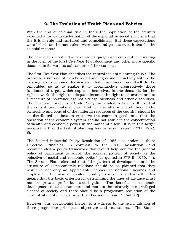# **2. The Evolution of Health Plans and Policies**

With the end of colonial rule in India the population of the country expected a radical transformation of the exploitative social structure that the British rule had nurtured and consolidated. But these expectations were belied, as the new rulers were mere indigenous substitutes for the colonial masters.

The new rulers mouthed a lot of radical jargon and even put it in writing in the form of the First Five Year Plan document and other more specific documents for various sub-sectors of the economy.

The first Five Year Plan describes the central task of planning thus : "The problem is not one of merely re-channeling economic activity within the existing socioeconomic framework; that framework has itself to be remoulded so as to enable it to accommodate progressively those fundamental urges which express themselves in the demands for the right to work, the right to adequate income, the right to education and to a measure of insurance against old age, sickness and other disabilities. The Directive Principles of State Policy enunciated in Articles 36 to 51 of the constitution make it clear that for the attainment of these ends, ownership and control of the material resources of the country should be so distributed as best to subserve the common good, and that the operation of the economic system should not result in the concentration of wealth and economic power in the hands of a few. It is in this larger perspective that the task of planning has to be envisaged" (FYPI, 1952, 8).

The Second Industrial Policy Resolution of 1956 also endorsed these Directive Principles, in contrast to the 1948 Resolution, and recommended a policy framework that would help achieve the general policy of parliament to adopt "the socialist pattern of society as the objective of social and economic policy" (as quoted in FYP II, 1956, 44). The Second Plan reiterated that, "the pattern of development and the structure of socioeconomic relations should be so planned that they result in not only an appreciable increase in national incomes and employment but also in greater equality in incomes and wealth. This means that the basic criterion for determining the lines of advance must not be private profit but social gain. The benefits of economic development must accrue more and more to the relatively less privileged classes of society and there should be a progressive reduction of the concentration of incomes, wealth and economic power" (ibid, 22).

However, our postcolonial history is a witness to the rapid dilution of these progressive principles, objectives and resolutions. The States'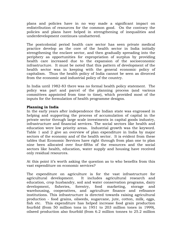plans and policies have in no way made a significant impact on redistribution of resources for the common good. On the contrary the policies and plans have helped in strengthening of inequalities and underdevelopment continues unshattered.

The postcolonial period health care sector has seen private medical practice develop as the core of the health sector in India initially strengthening the enclave sector, and then gradually spreading into the periphery as opportunities for expropriation of surplus by providing health care increased due to the expansion of the socioeconomic infrastructure. It must be noted that this pattern of development of the health sector was in keeping with the general economic policy of capitalism. Thus the health policy of India cannot be seen as divorced from the economic and industrial policy of the country.

In India until 1982-83 there was no formal health policy statement. The policy was part and parcel of the planning process (and various committees appointed from time to time), which provided most of the inputs for the formulation of health programme designs.

## **Planning in India**

In the early years after independence the Indian state was engrossed in helping and supporting the process of accumulation of capital in the private sector through large scale investments in capital goods industry, infrastructure and financial services. The social sectors like health and education were low priority areas. Industrial growth was the keyword. Table 1 and 2 give an overview of plan expenditure in India by major sectors of the economy and of the health sector. It is evident from these tables that Economic Services have right through from plan one to plan nine been allocated over four-fifths of the resources and the social sectors like health, education, water supply and housing have received only residual resources.

At this point it's worth asking the question as to who benefits from this vast expenditure on economic services?

The expenditure on agriculture is for the vast infrastructure for agricultural development. It includes agricultural research and education, crop husbandry, soil and water conservation programs, dairy development, fisheries, forestry, food marketing, storage and warehousing, cooperatives, and agriculture finance and refinance institutions. This infrastructure is directed towards raising agricultural production - food grains, oilseeds, sugarcane, jute, cotton, milk, eggs, fish etc. This expenditure has helped increase food grain production fourfold (from 50 million tons in 1951 to 203 million tones in 1999), oilseed production also fourfold (from 6.2 million tonnes to 25.2 million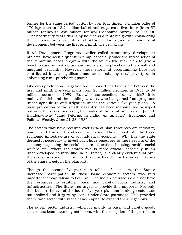tonnes for the same period) cotton by over four times, (3 million bales of 170 kgs each to 12.2 million bales) and sugarcane five times (from 57 million tonnes to 296 million tonnes) (Economic Survey 1999-2000). Over nearly fifty years this is by no means a fantastic growth considering the increase in expenditure of 416-fold for agriculture and rural development between the first and ninth five year plans.

Rural Development Programs (earlier called community development projects) have seen a quantum jump, especially since the introduction of the minimum needs program with the fourth five year plan to give a boost to rural infrastructure and provide some placebos to the small and marginal peasantry. However, these efforts at programming have not contributed in any significant manner to reducing rural poverty or in enhancing rural purchasing power.

Like crop production, irrigation too increased nearly fourfold between the first and ninth five year plans from 23 million hectares in 1951 to 84 million hectares in 1999. But who has benefited from all this? It is mainly the rich and the middle peasantry who has gained from programs under agriculture and irrigation under the various five-year plans. A large proportion of the small peasantry has been marginalized or wiped out over the years increasing the ranks of the rural proletariat. (see D. Bandopadhyay "Land Reforms in India: An analysis", Economic and Political Weekly, June 21-28, 1986).

The sectors that have received over 55% of plan resources are industry, power, and transport and communication. These constitute the basic economic infrastructure of an industrial economy. Why has the state deemed it necessary to invest such large resources to these sectors of the economy neglecting the social sectors (education, housing, health, social welfare etc.) where the state's role is more crucial, especially in an underdeveloped country like India? Infact, it is clearly evident that over the years investment in the health sector has declined sharply in terms of the share it gets in the plan kitty.

Though the second five-year plan talked of socialism, the State's increased participation in these basic economic sectors was very important for capitalism to flourish. The Indian bourgeoisie did not have the resources to establish basic and capital goods industry and infrastructure. The State was urged to provide this support. Not only this but on the eve of the fourth five year plan the banking sector was nationalized and it grew by leaps under State patronage. This provided the private sector with vast finance capital to expand their hegemony.

The public sector industry, which is mainly in basic and capital goods sector, has been incurring net losses, with the exception of the petroleum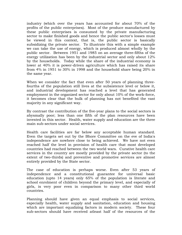industry (which over the years has accounted for about 70% of the profits of the public enterprises). Most of the produce manufactured by these public enterprises is consumed by the private manufacturing sector to make finished goods and hence the public sector's losses must be viewed in this context, that is, the public sector is basically subsidizing the private sector. To illustrate this with a simple example we can take the use of energy, which is produced almost wholly by the public sector. Between 1951 and 1985 on an average three-fifths of the energy utilization has been by the industrial sector and only about 12% by the households. Today while the share of the industrial economy is lower at 40% it is power-driven agriculture which has raised its share from 4% in 1951 to 30% in 1998 and the household share being 20% in the same year.

When we consider the fact that even after 50 years of planning threefourths of the population still lives at the subsistence level or below it, and industrial development has reached a level that has generated employment in the organized sector for only about 10% of the work-force, it becomes clear that the bulk of planning has not benefited the vast majority in any significant way.

By contrast the contribution of the five-year plans to the social sectors is abysmally poor; less than one fifth of the plan resources have been invested in this sector. Health, water supply and education are the three main sub-sectors under social services.

Health care facilities are far below any acceptable human standard. Even the targets set out by the Bhore Committee on the eve of India's independence are nowhere close to being achieved. We have not even reached half the level in provision of health care that most developed countries had reached between the two world wars. Curative health care services in the country are mostly provided by the private sector (to the extent of two-thirds) and preventive and promotive services are almost entirely provided by the State sector.

The case of education is perhaps worse. Even after 53 years of independence and a constitutional guarantee for universal basic education (upto 14 years) only 65% of the population is literate and school enrolment of children beyond the primary level, and especially of girls, is very poor even in comparison to many other third world countries.

Planning should have given an equal emphasis to social services, especially health, water supply and sanitation, education and housing which are important equalizing factors in modern society. These four sub-sectors should have received atleast half of the resources of the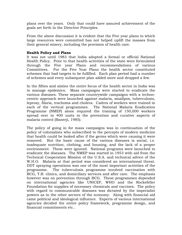plans over the years. Only that could have assured achievement of the goals set forth in the Directive Principles.

From the above discussion it is evident that the Five year plans to which large resources were committed has not helped uplift the masses from their general misery, including the provision of health care.

### **Health Policy and Plans**

It was not until 1983 that India adopted a formal or official National Health Policy. Prior to that health activities of the state were formulated through the Five year Plans and recommendations of various Committees. For the Five Year Plans the health sector constituted schemes that had targets to be fulfilled. Each plan period had a number of schemes and every subsequent plan added more and dropped a few.

In the fifties and sixties the entire focus of the health sector in India was to manage epidemics. Mass campaigns were started to eradicate the various diseases. These separate countrywide campaigns with a technocentric approach were launched against malaria, smallpox, tuberculosis, leprosy, filaria, trachoma and cholera. Cadres of workers were trained in each of the vertical programmes. The National Malaria Eradication Programme (NMEP) alone required the training of 150,000 workers spread over in 400 units in the prevention and curative aspects of malaria control (Banerji, 1985).

The policy of going in for mass campaigns was in continuation of the policy of colonialists who subscribed to the percepts of modern medicine that health could be looked after if the germs which were causing it were removed. But the basic cause of the various diseases is social, i.e. inadequate nutrition, clothing, and housing, and the lack of a proper environment. These were ignored. National programs were launched to eradicate the diseases. The NMEP was started in 1953 with aid from the Technical Cooperation Mission of the U.S.A. and technical advice of the W.H.O. Malaria at that period was considered an international threat. DDT spraying operations was one of the most important activities of the programme. The tuberculosis programme involved vaccination with BCG, T.B. clinics, and domiciliary services and after care. The emphasis however was on prevention through BCG. These programmes depended on international agencies like UNICEF, WHO and the Rockefeller Foundation for supplies of necessary chemicals and vaccines. The policy with regard to communicable diseases was dictated by the imperialist powers as in the other sectors of the economy. Along with financial aid came political and ideological influence. Experts of various international agencies decided the entire policy framework, programme design, and financial commitments etc..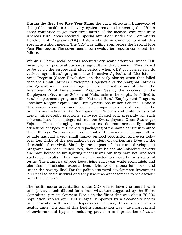During the **first two Five Year Plans** the basic structural framework of the public health care delivery system remained unchanged. Urban areas continued to get over three-fourth of the medical care resources whereas rural areas received "special attention" under the Community Development Program (CDP). History stands in evidence to what this special attention meant. The CDP was failing even before the Second Five Year Plan began. The governments own evaluation reports confessed this failure.

Within CDP the social sectors received very scant attention. Infact CDP meant, for all practical purposes, agricultural development. This proved to be so in the subsequent plan periods when CDP got converted into various agricultural programs like Intensive Agricultural Districts (or Area) Program (Green Revolution!) in the early sixties; when that failed then the Small Farmers Development Agency and the Marginal Farmers and Agricultural Laborers Program in the late sixties, and still later the Integrated Rural Development Program. Seeing the success of the Employment Guarantee Scheme of Maharashtra the emphasis shifted to rural employment programs like National Rural Employment Program, Jawahar Rozgar Yojana and Employment Assurance Scheme. Besides this women's empowerment became a major development issue in the nineties and schemes like Development of Women and children in rural areas, micro-credit programs etc..were floated and presently all such schemes have been integrated into the Swaranjayanti Gram Swarozgar Yojana. These changing nomenclatures do not necessarily reflect structural changes but merely repackaging of the same continuum since the CDP days. We have seen earlier that all the investment in agriculture to date has had a very small impact on food production and even today over four-fifths of the population dependent on agriculture lives on the threshold of survival. Similarly the impact of the rural development programs has been limited. Yes, they have helped stall absolute poverty and have helped as fire-fighting mechanisms but they have not produced sustained results. They have not impacted on poverty in structural terms. The numbers of poor keep rising each year while economists and planning commission experts keep fighting on proportions over and under the poverty line! For the politicians rural development investment is critical to their survival and they use it as appeasement to seek favour from the electorate.

The health sector organization under CDP was to have a primary health unit (a very much diluted form from what was suggested by the Bhore Committee) per development Block (in the fifties this was about 70,000 population spread over 100 villages) supported by a Secondary health unit (hospital with mobile dispensary) for every three such primary health units. The aim of this health organization was "the improvement of environmental hygiene, including provision and protection of water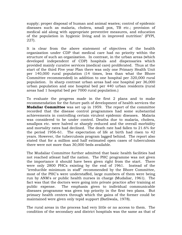supply; proper disposal of human and animal wastes; control of epidemic diseases such as malaria, cholera, small pox, TB etc.; provision of medical aid along with appropriate preventive measures, and education of the population in hygienic living and in improved nutrition" (FYPI, 227).

It is clear from the above statement of objectives of the health organization under CDP that medical care had no priority within the structure of such an organization. In contrast, in the urban areas (which developed independent of CDP) hospitals and dispensaries which provided mainly curative services (medical care) proliferated. Thus at the start of the third Five year Plan there was only one Primary Health Unit per 140,000 rural population (14 times, less than what the Bhore Committee recommended) in addition to one hospital per 320,000 rural population. In sharp contrast urban areas had one hospital per 36,000 urban population and one hospital bed per 440 urban residents (rural areas had 1 hospital bed per 7000 rural population.)

To evaluate the progress made in the first 2 plans and to make recommendation for the future path of development of health services the **Mudaliar Committee** was set up in 1959. The report of the committee recorded that the disease control programmes had some substantial achievements in controlling certain virulent epidemic diseases. Malaria was considered to be under control. Deaths due to malaria, cholera, smallpox etc. were halved or sharply reduced and the overall morbidity and mortality rates had declined. The death rate had fallen to 21.6% for the period 1956-61. The expectation of life at birth had risen to 42 years. However, the tuberculosis program lagged behind. The report also stated that for a million and half estimated open cases of tuberculosis there were not more than 30,000 beds available.

The Mudaliar Committee further admitted that basic health facilities had not reached atleast half the nation. The PHC programme was not given the importance it should have been given right from the start. There were only 2800 PHCs existing by the end of 1961. Instead of the "irreducible minimum in staff" recommended by the Bhore Committee, most of the PHC's were understaffed, large numbers of them were being run by ANM's or public health nurses in charge (Mudaliar, 1961). The fact was that the doctors were going into private practice after training at public expense. The emphasis given to individual communicable diseases programme was given top priority in the first two plans. But primary health centers through which the gains of the former could be maintained were given only tepid support (Batliwala, 1978).

The rural areas in the process had very little or no access to them. The condition of the secondary and district hospitals was the same as that of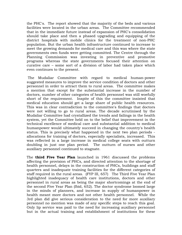the PHC's. The report showed that the majority of the beds and various facilities were located in the urban areas. The Committee recommended that in the immediate future instead of expansion of PHC's consolidation should take place and then a phased upgrading and equipping of the district hospitals with mobile clinics for the treatment of non-PHC population. But the urban health infrastructure continued to increase to meet the growing demands for medical care and this was where the state governments own funds were getting committed. The Centre through the Planning Commission was investing in preventive and promotive programs whereas the state governments focused their attention on curative care – some sort of a division of labor had taken place which even continues to the present.

 The Mudaliar Committee with regard to medical human-power suggested measures to improve the service condition of doctors and other personnel in order to attract them to rural areas. The committee makes a mention that except for the substantial increase in the number of doctors, number of other categories of health personnel was still woefully short of the requirement. Inspite of this the committee insisted that medical education should get a large share of public health resources. This was in clear contradiction to the committee's findings that doctors were not willing to go to rural areas. The decade scrutinised by the Mudaliar Committee had crystallized the trends and failings in the health system, yet the Committee held on to the belief that improvement in the technical excellence of medical care and substantial addition to medical humanpower would ultimately succeed in changing the country's health status. This is precisely what happened in the next two plan periods allocations for training of doctors, especially specialists, increased. This was reflected in a large increase in medical college seats with outturn doubling in just one plan period. The outturn of nurses and other auxiliary personnel continued to stagnate.

The **third Five Year Plan** launched in 1961 discussed the problems affecting the provision of PHCs, and directed attention to the shortage of health personnel, delays in the construction of PHCs, buildings and staff quarters and inadequate training facilities for the different categories of staff required in the rural areas. (FYP III, 657) The Third Five Year Plan highlighted inadequacy of health care institutions, doctors and other personnel in rural areas as being the major shortcomings at the end of the second Five Year Plan (Ibid, 652). The doctor syndrome loomed large in the minds of planners, and increase in supply of humanpower in health meant more doctors and not other health personnel. While the 3rd plan did give serious consideration to the need for more auxiliary personnel no mention was made of any specific steps to reach this goal. Only lip service was paid to the need for increasing auxiliary personnel but in the actual training and establishment of institutions for these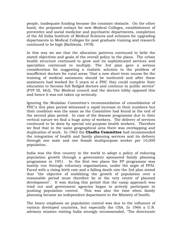people, inadequate funding became the constant obstacle. On the other hand, the proposed outlays for new Medical Colleges, establishment of preventive and social medicine and psychiatric departments, completion of the All India Institute of Medical Sciences and schemes for upgrading departments in Medical Colleges for post graduate training and research continued to be high (Batliwala, 1978).

In this way we see that the allocation patterns continued to belie the stated objectives and goals of the overall policy in the plans. The urban health structure continued to grow and its sophisticated services and specialties continued to multiply. The 3rd plan gave a serious consideration for suggesting a realistic solution to the problem of insufficient doctors for rural areas "that a new short term course for the training of medical assistants should be instituted and after these assistants had worked for 5 years at a PHC they could complete their education to become full fledged doctors and continue in public service" (FYP III, 662). The Medical council and the doctors lobby opposed this and hence it was not taken up seriously.

Ignoring the Mudaliar Committee's recommendation of consolidation of PHC's this plan period witnessed a rapid increase in their numbers but their condition was the same as the Committee had found at the end of the second plan period. In case of the disease programme due to their vertical nature we find a huge army of workers. The delivery of services continued to be done by special uni-purpose health workers. Therefore we find that in the same geographical area there was overlapping and duplication of work. In 1963 the **Chadha Committee** had recommended the integration of health and family planning services and its delivery through one male and one female multipurpose worker per 10,000 population.

India was the first country in the world to adopt a policy of reducing population growth through a government sponsored family planning programme in 1951. In the first two plans the FP programme was mainly run through voluntary organizations, under the aegis of FPAI. Faced with a rising birth rate and a falling death rate the 3rd plan stated that "the objective of stabilizing the growth of population over a reasonable period must therefore be at the very center of planned development". It was during this period that the camp approach was tried out and government agencies began to actively participate in pushing population control. This was also the time when family planning became an independent department in the Ministry of health.

The heavy emphasis on population control was due to the influence of various developed countries, but especially the USA. In 1966 a U.N. advisory mission visiting India strongly recommended, "The directorate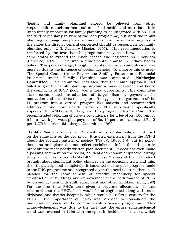(health and family planning) should be relieved from other responsibilities such as maternal and child health and nutrition. It is undoubtedly important for family planning to be integrated with MCH in the field particularly in view of the loop programme, but until the family planning campaign has picked up momentum and made real progress in the states the director general concerned should be responsible for family planning only" (U.N. Advisory Mission 1961). This recommendation is reinforced by the fear that the programme may be otherwise used in some states to expand the much needed and neglected MCH services (Banerjee, 1973). This was a fundamental change in India's health policy. This policy change, though it had its own inner compulsions, was more so due to the influence of foreign agencies. To endorse this strategy The Special Committee to Review the Staffing Pattern and Financial Provision under Family Planning was appointed (**Mukherjee Committee**). This committee indicated that the camp approach had failed to give the family planning program a mass character and hence the coming in of IUCD (loop) was a great opportunity. This committee also recommended introduction of target fixation, payments for motivation and incentives to acceptors. It suggested reorganization of the FP program into a vertical program like malaria and recommended addition of one more Health visitor per PHC who would specifically supervise the ANMs for the targets of this program. Also the Committee recommended retaining of private practitioners for a fee of Rs. 100 pm for 6 hours work per week plus payment of Rs. 10 per sterilization and Rs. 2 per IUCD insertion. (Mukherjee Committee, 1966)

The **4th Plan** which began in 1969 with a 3 year plan holiday continued on the same line as the 3rd plan. It quoted extensively from the FYP II about the socialist pattern of society (FYP IV, 1969, 1-4) but its policy decisions and plans did not reflect socialism. Infact the 4th plan is probably the most poorly written plan document. It does not even make a passing comment on the social, political and economic upheaval during the plan Holiday period (1966-1969). These 3 years of turmoil indeed brought about significant policy changes on the economic front and this, the 4th plan ignored completely. It lamented on the poor progress made in the PHC programme and recognized again the need to strengthen it. It pleaded for the establishment of effective machinery for speedy construction of buildings and improvement of the performance of PHCs by providing them with staff, equipment and other facilities. (ibid, 390) For the first time PHCs were given a separate allocation. It was reiterated that the PHC's base would be strengthened along with, subdivisional and district hospitals, which would be referral centers for the PHCs. The importance of PHCs was stressed to consolidate the maintenance phase of the communicable diseases programme. This acknowledgement was due to the fact that the entire epidemiological trend was reversed in 1966 with the spurt in incidence of malaria which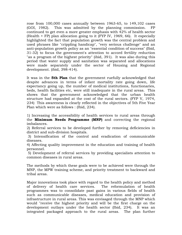rose from 100,000 cases annually between 1963-65, to 149,102 cases (GOI, 1982). This was admitted by the planning commission. FP continued to get even a more greater emphasis with 42% of health sector (Health + FP) plan allocation going to it (FYP IV, 1969, 66). It especially highlighted the fact that population growth was the central problem and used phrases like "crippling handicap", "very serious challenge" and an anti-population growth policy as an "essential condition of success" (Ibid, 31-32) to focus the government's attention to accord fertility reduction "as a program of the highest priority" (ibid, 391). It was also during this period that water supply and sanitation was separated and allocations were made separately under the sector of Housing and Regional development. (ibid, 398-414).

It was in the **5th Plan** that the government ruefully acknowledged that despite advances in terms of infant mortality rate going down, life expectancy going up, the number of medical institutions, functionaries, beds, health facilities etc, were still inadequate in the rural areas. This shows that the government acknowledged that the urban health structure had expanded at the cost of the rural sectors. (FYP V, 1974, 234) This awareness is clearly reflected in the objectives of 5th Five Year Plan which were as follows : (Ibid, 234).

1) Increasing the accessibility of health services to rural areas through the **Minimum Needs Programme (MNP)** and correcting the regional imbalances.

2) Referral services to be developed further by removing deficiencies in district and sub-division hospitals.

 3) Intensification of the control and eradication of communicable diseases.

4) Affecting quality improvement in the education and training of health personnel.

 5) Development of referral services by providing specialists attention to common diseases in rural areas.

The methods by which these goals were to be achieved were through the MNP, the MPW training scheme, and priority treatment to backward and tribal areas.

Major innovations took place with regard to the health policy and method of delivery of health care services. The reformulation of health programmes was to consolidate past gains in various fields of health such as communicable diseases, medical education and provision of infrastructure in rural areas. This was envisaged through the MNP which would "receive the highest priority and will be the first charge on the development outlays under the health sector (Ibid, 234). It was an integrated packaged approach to the rural areas. The plan further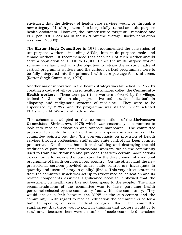envisaged that the delivery of health care services would be through a new category of health personnel to be specially trained as multi-purpose health assistants. However, the infrastructure target still remained one PHC per CDP Block (as in the FYPI but the average Block's population was now 125000)!

The **Kartar Singh Committee** in 1973 recommended the conversion of uni-purpose workers, including ANMs, into multi-purpose male and female workers. It recommended that each pair of such worker should serve a population of 10,000 to 12,000. Hence the multi-purpose worker scheme was launched with the objective to retrain the existing cadre of vertical programme workers and the various vertical programmes were to be fully integrated into the primary health care package for rural areas. (Kartar Singh Committee, 1974)

Another major innovation in the health strategy was launched in 1977 by creating a cadre of village based health auxiliaries called the **Community Health workers**. These were part time workers selected by the village, trained for 3 months in simple promotive and curative skills both in allopathy and indigenous systems of medicine. They were to be supervised by MPWs, and the programme was started in 777 selected PHCs where MPWs were already in place.

This scheme was adopted on the recommendations of the **Shrivastava Committee** (Shrivastava, 1975) which was essentially a committee to look into medical education and support manpower. The committee proposed to rectify the dearth of trained manpower in rural areas. The committee pointed out that "the over-emphasis on provision of health services through professional staff under state control has been counter productive. On the one hand it is devaluing and destroying the old traditions of part-time semi-professional workers, which the community used to train and throw up and proposed that with certain modifications can continue to provide the foundation for the development of a national programme of health services in our country. On the other hand the new professional services provided under state control are inadequate in quantity and unsatisfactory in quality" (Ibid.). This very direct statement from the committee which was set up to review medical education and its related components assumes significance because it showed that the investment on health care has not been going to the people. The main recommendations of the committee was to have part-time health personnel selected by the community from within the community. They would act as a link between the MPW at the sub-centers and the community. With regard to medical education the committee cried for a halt to opening of new medical colleges. (Ibid.) The committee emphasized that there was no point in thinking that doctors would go to rural areas because there were a number of socio-economic dimensions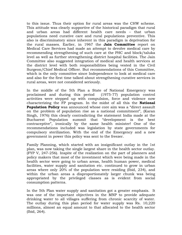to this issue. Thus their option for rural areas was the CHW scheme. This attitude was clearly supportive of the historical paradigm that rural and urban areas had different health care needs – that urban populations need curative care and rural populations preventive. This also is discriminatory since inherent in this paradigm is deprivation for the rural masses. Earlier, in 1967 the **Jain Committee** report on Medical Care Services had made an attempt to devolve medical care by recommending strengthening of such care at the PHC and block/taluka level as well as further strengthening district hospital facilities. The Jain Committee also suggested integration of medical and health services at the district level with both responsibilities being vested in the Civil Surgeon/Chief Medical Officer. But recommendations of this Committee, which is the only committee since Independence to look at medical care and also for the first time talked about strengthening curative services in rural areas, were not considered seriously.

In the middle of the 5th Plan a State of National Emergency was proclaimed and during this period (1975-77) population control activities were stepped up with compulsion, force and violence now characterizing the FP program. In the midst of all this the **National Population Policy** was announced whose core aim was a "direct assault on the problem of population rise as a national commitment", (Karan Singh, 1976) this clearly contradicting the statement India made at the Bucharest Population summit that "development is the best contraceptive", ironically by the same health minister! One of the recommendations included was legislation by state governments for compulsory sterilization. With the end of the Emergency and a new government in power this policy was sent to the freezer.

Family Planning, which started with an insignificant outlay in the 1st plan, was now taking the single largest share in the health sector outlay. (FYP V, 247-256). Inspite of the realization on the part of planners and policy makers that most of the investment which were being made in the health sector were going to urban areas, health human power, medical facilities, water supply and sanitation etc. continued to grow in urban areas where only 20% of the population were residing (Ibid, 234), and within the urban areas a disproportionately larger chunk was being appropriated by the privileged classes as is evident from social consumption patterns.

In the 5th Plan water supply and sanitation got a greater emphasis. It was one of the important objectives in the MNP to provide adequate drinking water to all villages suffering from chronic scarcity of water. The outlay during this plan period for water supply was Rs. 10,220 millions, almost an equal amount to that allocated to the health sector (Ibid, 264).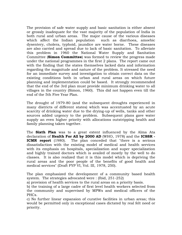The provision of safe water supply and basic sanitation is either absent or grossly inadequate for the vast majority of the population of India in both rural and urban areas. The major cause of the various diseases which affect the Indian population such as diarrhoea, amoebic dysentery, cholera, typhoid, jaundice are water borne. These diseases are also carried and spread due to lack of basic sanitation. To alleviate this problem in 1960 the National Water Supply and Sanitation Committee (**Simon Committee**) was formed to review the progress made under the national programmes in the first 2 plans. The report came out with the finding that the states themselves lacked data and information regarding the magnitude and nature of the problem. It stressed the need for an immediate survey and investigation to obtain correct data on the existing conditions both in urban and rural areas on which future planning and implementation could be based. It strongly recommended that the end of the 3rd plan must provide minimum drinking water to all villages in the country (Simon, 1960). This did not happen even till the end of the 5th Five Year Plan.

The drought of 1979-80 (and the subsequent droughts experienced in many districts of different states) which was accentuated by an acute scarcity of drinking water due to the drying-up of wells, tanks and other sources added urgency to the problem. Subsequent plans gave water supply an even higher priority with allocations outstripping health and family planning taken together.

The **Sixth Plan** was to a great extent influenced by the Alma Ata declaration of **Health For All by 2000 AD** (WHO, 1978) and the **ICSSR - ICMR report** (1980). The plan conceded that "there is a serious dissatisfaction with the existing model of medical and health services with its emphasis on hospitals, specialization and super specialization and highly trained doctors which is availed of mostly by the well to do classes. It is also realized that it is this model which is depriving the rural areas and the poor people of the benefits of good health and medical services" (Draft FYP VI, Vol. III, 1978, 250).

The plan emphasized the development of a community based health system. The strategies advocated were : (Ibid, 251-252)

a) provision of health services to the rural areas on a priority basis.

b) the training of a large cadre of first level health workers selected from the community and supervised by MPWs and medical officers of the PHCs.

c) No further linear expansion of curative facilities in urban areas; this would be permitted only in exceptional cases dictated by real felt need or priority.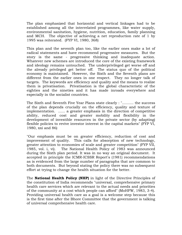The plan emphasized that horizontal and vertical linkages had to be established among all the interrelated programmes, like water supply, environmental sanitation, hygiene, nutrition, education, family planning and MCH. The objective of achieving a net reproduction rate of 1 by 1995 was reiterated. (FYP VI, 1980, 368)

This plan and the seventh plan too, like the earlier ones make a lot of radical statements and have recommend progressive measures. But the story is the same - progressive thinking and inadequate action. Whatever new schemes are introduced the core of the existing framework and ideology remains untouched. The underprivileged get worse off and the already privileged get better off. The status quo of the political economy is maintained. However, the Sixth and the Seventh plans are different from the earlier ones in one respect. They no longer talk of targets. The keywords are efficiency and quality and the means to realize them is privatisation. Privatisation is the global characteristic of the eighties and the nineties and it has made inroads everywhere and especially in the socialist countries.

The Sixth and Seventh Five Year Plans state clearly : ".......... the success of the plan depends crucially on the efficiency, quality and texture of implementation. ...... a greater emphasis in the direction of competitive ability, reduced cost and greater mobility and flexibility in the development of investible resources in the private sector (by adapting) flexible policies to revive investor interest in the capital markets" (FYP VI, 1980, xxi and 86)

"Our emphasis must be on greater efficiency, reduction of cost and improvement of quality. This calls for absorption of new technology, greater attention to economies of scale and greater competition" (FYP VII, 1985, vol. i, vi). The National Health Policy of 1983 was announced during the Sixth plan period. It was in no way an original document. It accepted in principle the ICMR-ICSSR Report's (1981) recommendations as is evidenced from the large number of paragraphs that are common to both documents. But beyond stating the policy there was no subsequent effort at trying to change the health situation for the better.

The **National Health Policy (NHP)** in light of the Directive Principles of the constitution of India recommends "universal, comprehensive primary health care services which are relevant to the actual needs and priorities of the community at a cost which people can afford" (MoHFW, 1983, 3-4). Providing universal health care as a goal is a welcome step because this is the first time after the Bhore Committee that the government is talking of universal comprehensive health care.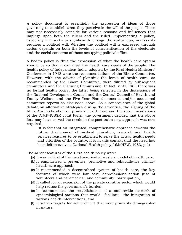A policy document is essentially the expression of ideas of those governing to establish what they perceive is the will of the people. These may not necessarily coincide for various reasons and influences that impinge upon both the rulers and the ruled. Implementing a policy, especially if it seeks to significantly change the status quo, necessarily requires a political will. Whether the political will is expressed through action depends on both the levels of conscientisation of the electorate and the social concerns of those occupying political office.

A health policy is thus the expression of what the health care system should be so that it can meet the health care needs of the people. The health policy of Independent India, adopted by the First Health Ministers' Conference in 1948 were the recommendations of the Bhore Committee. However, with the advent of planning the levels of health care, as recommended by the Bhore Committee, were diluted by subsequent committees and the Planning Commission. In fact, until 1983 there was no formal health policy, the latter being reflected in the discussions of the National Development Council and the Central Council of Health and Family Welfare, and the Five Year Plan documents and/or occasional committee reports as discussed above. As a consequence of the global debate on alternative strategies during the seventies, the signing of the Alma Ata Declaration on primary health care and the recommendations of the ICMR-ICSSR Joint Panel, the government decided that the above fora may have served the needs in the past but a new approach was now required,

"It is felt that an integrated, comprehensive approach towards the future development of medical education, research and health services requires to be established to serve the actual health needs and priorities of the country. It is in this context that the need has been felt to evolve a National Health policy," (MoHFW, 1983, p 1)

The salient features of the 1983 health policy were:

- (a) It was critical of the curative-oriented western model of health care,
- (b) It emphasised a preventive, promotive and rehabilitative primary health care approach,
- (c) It recommended a decentralised system of health care, the key features of which were low cost, deprofessionalisation (use of volunteers and paramedics), and community participation,
- (d) It called for an expansion of the private curative sector which would help reduce the government's burden,
- (e) It recommended the establishment of a nationwide network of epidemiological stations that would facilitate the integration of various health interventions, and
- (f) It set up targets for achievement that were primarily demographic in nature.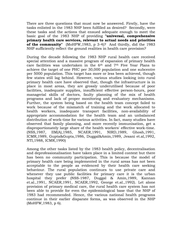There are three questions that must now be answered. Firstly, have the tasks enlisted in the 1983 NHP been fulfilled as desired? Secondly, were these tasks and the actions that ensued adequate enough to meet the basic goal of the 1983 NHP of providing **"universal, comprehensive primary health care services, relevant to actual needs and priorities of the community"** (MoHFW,1983, p 3-4)? And thirdly, did the 1983 NHP sufficiently reflect the ground realities in health care provision?

During the decade following the 1983 NHP rural health care received special attention and a massive program of expansion of primary health care facilities was undertaken in the 6th and 7th Five Year Plans to achieve the target of one PHC per 30,000 population and one subcentre per 5000 population. This target has more or less been achieved, though few states still lag behind. However, various studies looking into rural primary health care have observed that, though the infrastructure is in place in most areas, they are grossly underutilised because of poor facilities, inadequate supplies, insufficient effective person-hours, poor managerial skills of doctors, faulty planning of the mix of health programs and lack of proper monitoring and evaluatory mechanisms. Further, the system being based on the health team concept failed to work because of the mismatch of training and the work allocated to health workers, inadequate transport facilities, non-availability of appropriate accommodation for the health team and an unbalanced distribution of work-time for various activities. In fact, many studies have observed that family planning, and more recently immunisation, get a disproportionately large share of the health workers' effective work-time. (NSS,1987, IIM(A),1985, NCAER,1991, NIRD,1989, Ghosh,1991, ICMR,1989, Gupta&Gupta,1986, Duggal&Amin,1989, Jesani et.al,1992, NTI,1988, ICMR,1990)

Among the other tasks listed by the 1983 health policy, decentralisation and deprofessionalisation have taken place in a limited context but there has been no community participation. This is because the model of primary health care being implemented in the rural areas has not been acceptable to the people as evidenced by their health care seeking behaviour. The rural population continues to use private care and whenever they use public facilities for primary care it is the urban hospital they prefer (NSS-1987, Duggal & Amin,1989, Kannan et.al.,1991, NCAER,1991, NCAER,1992, George et.al.,1992). Let alone provision of primary medical care, the rural health care system has not been able to provide for even the epidemiological base that the NHP of 1983 had recommended. Hence, the various national health programs continue in their earlier disparate forms, as was observed in the NHP (MoHFW,1983, p 6).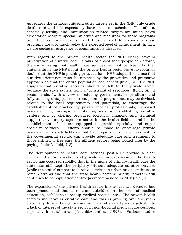As regards the demographic and other targets set in the NHP, only crude death rate and life expectancy have been on schedule. The others, especially fertility and immunisation related targets are much below expectation (despite special initiatives and resources for these programs over the last two decades), and those related to national disease programs are also much below the expected level of achievement. In fact, we are seeing a resurgence of communicable diseases.

With regard to the private health sector the NHP clearly favours privatization of curative care. It talks of a cost that "people can afford", thereby implying that health care services will not be free. Further statements in the NHP about the private health sector leave no room for doubt that the NHP is pushing privatisation. NHP adopts the stance that curative orientation must be replaced by the preventive and promotive approach so that the entire population can benefit (Ibid., 3). The NHP suggests that curative services should be left to the private sector because the state suffers from a "constraint of resources" (Ibid., 5). It recommends, "with a view to reducing governmental expenditure and fully utilizing untapped resources, planned programmes may be devised, related to the local requirements and potentials, to encourage the establishment of practice by private medical professionals, increased investment by non-governmental agencies in establishing curative centers and by offering organized logistical, financial and technical support to voluntary agencies active in the health field ... and in the establishment of centers equipped to provide specialty and super specialty services ... efforts should be made to encourage private investments in such fields so that the majority of such centers, within the governmental set-up, can provide adequate care and treatment to those entitled to free care, the affluent sectors being looked after by the paying clinics". (Ibid, 7-8)

The development of health care services post-NHP provide a clear evidence that privatisation and private sector expansion in the health sector has occurred rapidly, that in the name of primary health care the state has still kept the periphery without adequate curative services (while the states' support to curative services in urban areas continues to remain strong) and that the state health sectors' priority program still continues to be population control (as recommended in NHP (Ibid., 4)).

The expansion of the private health sector in the last two decades has been phenomenal thanks to state subsidies in the form of medical education, soft loans to set up medical practice etc... The private health sector's mainstay is curative care and this is growing over the years (especially during the eighties and nineties) at a rapid pace largely due to a lack of interest of the state sector in non-hospital medical care services, especially in rural areas (Jesani&Ananthram,1993). Various studies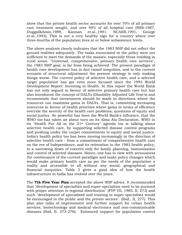show that the private health sector accounts for over 70% of all primary care treatment sought, and over 40% of all hospital care (NSS-1987, Duggal&Amin,1989, Kannan et.al.,1991, NCAER,1991, George et.al.,1992). This is not a very healthy sign for a country where over three-fourths of the population lives at or below subsistence levels.

The above analysis clearly indicates that the 1983 NHP did not reflect the ground realities adequately. The tasks enunciated in the policy were not sufficient to meet the demands of the masses, especially those residing in rural areas. "Universal, comprehensive, primary health care services", the 1983 NHP goal, is far from being achieved. The present paradigm of health care development has in fact raised inequities, and in the current scenario of structural adjustment the present strategy is only making things worse. The current policy of selective health care, and a selected target population has got even more focused since the 1993 World Development Report: Investing in Health. In this report the World Bank has not only argued in favour of selective primary health care but has also introduced the concept of DALYs (Disability Adjusted Life Year's) and recommends that investments should be made in directions where the resources can maximise gains in DALYs. That is, committing increasing resources in favour of health priorities where gains in terms of efficiency override the severity of the health care problems, questions of equity and social justice. So powerful has been the World Bank's influence, that the WHO too has taken an about turn on its Alma Ata Declaration. WHO in its "Health For All in the 21st Century" agenda too is talking about selective health care, by supporting selected disease control programs and pushing under the carpet commitments to equity and social justice. India's health policy too has been moving increasingly in the direction of selective health care - from a commitment of comprehensive health care on the eve of Independence, and its reiteration in the 1983 health policy, to a narrowing down of concern only for family planning, immunisation and control of selected diseases. Hence, one has to view with seriousness the continuance of the current paradigm and make policy changes which would make primary health care as per the needs of the population a reality and accessible to all without any social, geographical and financial inequities. Table 3 gives a good idea of how the health infrastructure in India has evolved over the years.

The **7th Five Year Plan** accepted the above NHP advice. It recommended that "development of specialties and super-specialties need to be pursued with proper attention to regional distribution" (FYP VII, 1985, II, 273) and such "development of specialised and training in super specialties would be encouraged in the public and the private sectors". (Ibid., II, 277). This plan also talks of improvement and further support for urban health services, biotechnology and medical electronics and non-communicable diseases (Ibid, II. 273-276). Enhanced support for population control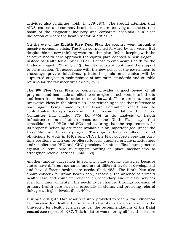activities also continues (Ibid., II. 279-287). The special attention that AIDS, cancer, and coronary heart diseases are receiving and the current boom of the diagnostic industry and corporate hospitals is a clear indication of where the health sector priorities lie.

On the eve of the **Eighth Five Year Plan** the country went through a massive economic crisis. The Plan got pushed forward by two years. But despite this no new thinking went into this plan. Infact, keeping with the selective health care approach the eighth plan adopted a new slogan – instead of Health for All by 2000 AD it chose to emphasize Health for the Underprivileged (FYP VIII, 322). Simultaneously it continued the support to privatization, "In accordance with the new policy of the government to encourage private initiatives, private hospitals and clinics will be supported subject to maintenance of minimum standards and suitable returns for the tax incentives." (ibid, 324)

The **9th Five Year Plan** by contrast provides a good review of all programs and has made an effort to strategise on achievements hitherto and learn from them in order to move forward. There are a number of innovative ideas in the ninth plan. It is refreshing to see that reference is once again being made to the Bhore Committee report and to contextualise today's scenario in the recommendations the Bhore Committee had made. (FYP IX, 446) In its analysis of health infrastructure and human resources the Ninth Plan says that consolidation of PHCs and SCs and assuring that the requirements for its proper functioning are made available is an important goal under the Basic Minimum Services program. Thus, given that it is difficult to find physicians to work in PHCs and CHCs the Plan suggests creating parttime positions which can be offered to local qualified private practitioners and/or offer the PHC and CHC premises for after office hours practice against a rent. Also it suggests putting in place mechanisms to strengthen referral services. (ibid, 454)

Another unique suggestion is evolving state specific strategies because states have different scenarios and are at different levels of development and have different health care needs. (Ibid, 458). The Ninth Plan also shows concern for urban health care, especially the absence of primary health care and complete reliance on secondary and tertiary services even for minor ailments. This needs to be changed through provision of primary health care services, especially in slums, and providing referral linkages at higher levels. (Ibid, 460).

During the Eighth Plan resources were provided to set up the Education Commission for Health Sciences, and afew states have even set up the University for Health Sciences as per the recommendations of the **Bajaj committee** report of 1987. This initiative was to bring all health sciences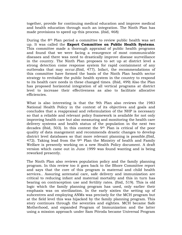together, provide for continuing medical education and improve medical and health education through such an integration. The Ninth Plan has made provisions to speed up this process. (ibid, 468)

During the 8th Plan period a committee to review public health was set up. It was called the **Expert Committee on Public Health Systems**. This committee made a thorough appraisal of public health programs and found that we were facing a resurgence of most communicable diseases and there was need to drastically improve disease surveillance in the country. The Ninth Plan proposes to set up at district level a strong detection come response system for rapid containment of any outbreaks that may occur.(Ibid, 477). Infact, the recommendations of this committee have formed the basis of the Ninth Plan health sector strategy to revitalize the public health system in the country to respond to its health care needs in these changed times. (Ibid, 499) Also the Plan has proposed horizontal integration of all vertical programs at district level to increase their effectiveness as also to facilitate allocative efficiencies.

What is also interesting is that the 9th Plan also reviews the 1983 National Health Policy in the context of its objectives and goals and concludes that a reappraisal and reformulation of the NHP is necessary so that a reliable and relevant policy framework is available for not only improving health care but also measuring and monitoring the health care delivery systems and health status of the population in the next two decades (Ibid, 503). In this context the 9th Plan is critical of the poor quality of data mangement and recommends drastic changes to develop district level databases so that more relevant planning is possible.(Ibid, 472). Taking lead from the 9th Plan the Ministry of health and Family Welfare is presently working on a new Health Policy document. A draft version which came out in June 1999 was found wanting and is being reworked presently.

The Ninth Plan also reviews population policy and the family planning program. In this review too it goes back to the Bhore Committee report and says that the core of this program is maternal and child health services.. Assuring antenatal care, safe delivery and immunization are critical to reducing infant and maternal mortality and this in turn has bearing on contraception use and fertility rates. (Ibid, 519). This is old logic which the family planning program has used, only earlier their emphasis was on sterilization. In the early sixties the setting up of subcentres and employing ANMs was precisely for the MCH program but at the field level this was hijacked by the family planning program. This story continues through the seventies and eighties. MCH became Safe Motherhood, and expanded Program of Immunization and the latter using a mission approach under Sam Pitroda became Universal Program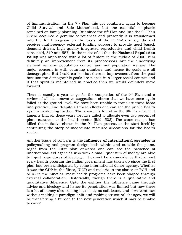of Immmunisation. In the 7th Plan this got combined again to become Child Survival and Safe Motherhood, but the essential emphasis remained on family planning. But since the 8th Plan and into the 9th Plan CSSM acquired a genuine seriousness and presently it is transformed into the RCH program on the basis of the ICPD-Cairo agenda and receives multi-agency external funding support to provide need based, demand driven, high quality integrated reproductive and child health care. (ibid, 519 and 557). In the midst of all this the **National Population Policy** was announced with a lot of fanfare in the middle of 2000. It is definitely an improvement from its predecessors but the underlying element remains population control and not population welfare. The major concern is with counting numbers and hence its goals are all demographic. But I said earlier that there is improvement from the past because the demographic goals are placed in a larger social context and if that spirit is maintained in practice then we would definitely move forward.

There is exactly a year to go for the completion of the 9<sup>th</sup> Plan and a review of all its innovative suggestions shows that we have once again failed at the ground level. We have been unable to translate these ideas into practice. And despite all these efforts one can see the public health system weakening further. The answer is found in the 9th Plan itself. It laments that all these years we have failed to allocate even two percent of plan resources to the health sector (ibid, 503). The same reason has killed the initiative shown in the 9th Plan process at the start itself by continuing the story of inadequate resource allocations for the health sector.

Another issue of concern is the **influence of international agencies** in policymaking and program design both within and outside the plans. Right from the First plan onwards one can see the presence of international aid agencies who with a small quantum of money are able to inject large doses of ideology. It cannot be a coincidence that almost every health program the Indian government has taken up since the first plan has been anticipated by some international donor agency. Whether it was the CDP in the fifties, IUCD and malaria in the sixties or RCH and AIDS in the nineties, most health programs have been shaped through external collaboration. Historically, though there is a qualitative and quantitative difference. Upto the eighties the influence came through advice and ideology and hence its penetration was limited but now there is a lot of money also coming in, mostly as soft loans, and if we continue without making a paradigm shift and making structural changes, we will be transferring a burden to the next generation which it may be unable to carry!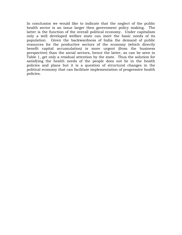In conclusion we would like to indicate that the neglect of the public health sector is an issue larger then government policy making. The latter is the function of the overall political economy. Under capitalism only a well developed welfare state can meet the basic needs of its population. Given the backwardness of India the demand of public resources for the productive sectors of the economy (which directly benefit capital accumulation) is more urgent (from the business perspective) than the social sectors, hence the latter, as can be seen in Table 1, get only a residual attention by the state. Thus the solution for satisfying the health needs of the people does not lie in the health policies and plans but it is a question of structural changes in the political economy that can facilitate implementation of progressive health policies.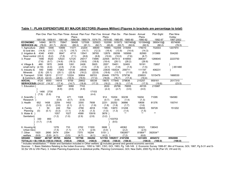|                                      |        |                 |         | Plan One Plan Two Plan Three Annual Plan Four Plan Five Annual Plan Six<br>Plans |         |                 | Plans     |                        | Plan Seven              | Annual<br>Plans | Plan Eight | Plan Nine<br>Outlay |
|--------------------------------------|--------|-----------------|---------|----------------------------------------------------------------------------------|---------|-----------------|-----------|------------------------|-------------------------|-----------------|------------|---------------------|
|                                      |        | 1951-56 1956-61 | 1961-66 | 1966-69                                                                          |         | 1969-74 1974-79 |           |                        | 1979-80 1980-85 1985-90 | 1990-92         | 1992-97    | 1997-2002           |
| <b>ECONOMIC</b>                      | 14940  | 38170           | 70847   | 56495                                                                            | 127936  | 325923          | 102090    |                        | 915072 1807460@         | 1015948@        | 3895410@   | 6574690             |
| <b>SERVICES (A)</b>                  | (76.0) | (81.7)          | (82.6)  | (85.3)                                                                           | (81.1)  | (82.7)          | (83.8)    | (83.7)                 | (82.6)                  | (82.5)          | (80.2)     | (76.5)              |
| 1. Agriculture                       | 2900   | 5490            | 10889   | 11071                                                                            | 23204   | 48649           | 19965     |                        | 152006 315094           | 176010          | 702003     | 1207970             |
| & rural dev.                         | (14.8) | (11.7)          | (12.7)  | (16.7)                                                                           | (14.7)  | (12.3)          | (16.4)    | (13.9)                 | (14.4)                  | (14.3)          |            |                     |
| 2. Irrigation &                      | 4340   | 4300            | 6647    | 4710                                                                             | 13541   | 38765           | 12879     | 09299                  | 165899                  | 82060           | 313989     | 554200              |
| flood control (22.2)                 |        | (9.2)           | (7.8)   | (7.1)                                                                            | (8.6)   | (9.8)           | (10.6)    | (10.0)                 | (7.6)                   | (6.7)           |            |                     |
| 3. Power                             | 1490   | 4520            | 12523   | 12125                                                                            | 29317   | 73995           | 22405     | 307513                 | 616893                  | 368347          | 1289045    | 2223750             |
|                                      | (7.6)  | (9.7)           | (14.6)  | (18.3)                                                                           | (18.6)  | (18.8)          | (18.4)    | (28.1)                 | (28.2)                  | (29.9)          |            |                     |
| 4. Village &                         | 480    | 1870            | 2408    | 1261                                                                             | 2426    | 5925            | 2557      | 19451                  | 32493                   | 18191           | 72657      |                     |
| small ind'ry                         | (2.19) | (4.0)           | (2.8)   | (1.9)                                                                            | (1.5)   | (1.5)           | (2.1)     | (1.8)                  | (1.5)                   | (1.5)           |            | }651480             |
| 5. Industry &                        | 550    | 9380            | 17263   | 15104                                                                            | 28644   | 89886           |           | 23835 150024           | 259711                  | 111197          | 406231     |                     |
| <b>Minerals</b>                      | (2.8)  | (20.1)          | (20.1)  | (22.8)                                                                           | (18.2)  | (22.8)          | (19.6)    | (13.7)                 | (11.9)                  | (9.0)           |            |                     |
| 6. Transport                         | 5180   | 12610           | 21117   | 12224                                                                            | 30804   | 68703           | 20449     | 176779                 | 379736                  | 239503          | 1015479    | 1666530             |
| & Commu'n                            | (26.4) | (22.0)          | (24.6)  | (18.5)                                                                           | (19.5)  | (17.4)          | (16.8)    | (16.7)                 | (17.4)                  | (19.4)          |            |                     |
| <b>SOCIAL</b>                        | 4720   | 8550            | 14918   | 9759                                                                             | 29852   | 68339           | 19675     | 177845                 | 379836                  | 215257          | 959161     | 2017310             |
| <b>SERVICES(B) (24.0)*</b>           |        | $(18.3)^*$      | (17.4)  | (14.7)                                                                           | (18.9)  | (17.3)          | (16.2)    | (16.3)                 | (17.4)                  | (17.5)          | (19.8)     | (23.5)              |
| 1. Education }                       |        |                 | 5887    | 3068                                                                             | 7743    |                 | 2630      | 29766                  | 76855                   | 49155           | 215987     |                     |
|                                      |        |                 | (6.9)   | (4.6)                                                                            | (4.9)   |                 | (2.2)     | (2.7)                  | (3.5)                   | (4.0)           |            |                     |
|                                      | 1490   | 2730            |         |                                                                                  |         | 17103           |           |                        |                         |                 |            |                     |
|                                      | (7.6)  | (5.9)           |         |                                                                                  |         | (4.4)           |           |                        |                         |                 |            |                     |
| 2. Scientific                        |        |                 | 716     | 471                                                                              | 1308    |                 | 914       | 10204                  | 30239                   | 16204           | 71095      | 184580              |
| Research }                           |        |                 | (0.8)   | (0.7)                                                                            | (0.8)   |                 | (0.7)     | (0.9)                  | (1.4)                   | (1.3)           |            |                     |
| 3. Health                            | 652    | 1408            | 2259    | 1402                                                                             | 3355    | 7608            | 2231      | 20252                  | 36886                   | 19656           | 81376      | 193741              |
|                                      | (3.3)  | (3.0)           | (2.6)   | (2.1)                                                                            | (2.1)   | (1.9)           | (1.8)     | (1.8)                  | (1.7)                   | (1.6)           |            |                     |
| 4. Family                            | 1      | 50              | 249     | 704                                                                              | 2780    | 4918            | 1185      | 13870                  | 31208                   | 18055           | 59728      | 151202              |
| Planning                             | (0)    | (0.1)           | (0.3)   | (1.1)                                                                            | (1.8)   | (1.3)           | (1.0)     | (1.3)                  | (1.4)                   | (1.5)           |            |                     |
| 5. Water & }                         |        |                 | 1057    | 1027                                                                             | 4589    | 10916           | $3876$ }  |                        | $+ +$                   | $**$            | $***$      |                     |
| Sanitation}                          |        |                 | (1.2)   | (1.0)                                                                            | (2.9)   | (2.8)           | $(3.2)$ } |                        |                         |                 |            |                     |
|                                      | 330    | 850             |         |                                                                                  |         |                 |           | }103753                |                         |                 |            |                     |
|                                      | (1.7)  | (1.8)           |         |                                                                                  |         |                 |           | (9.5)                  |                         |                 |            |                     |
|                                      |        |                 |         |                                                                                  |         |                 |           |                        |                         |                 |            |                     |
| 6. Housing $\&\}$                    |        |                 | 1276    | 733                                                                              | 2702    | 11500           | 3688      |                        | 48362                   | 30323           | 138043     |                     |
| Urban Dev}                           |        |                 | (1.5)   | (1.1)                                                                            | (1.7)   | (2.9)           | $(3.0)$ } |                        | (2.2)                   | (2.5)           |            |                     |
| 7. Other                             | 1920   | 2690 3474       |         | 2354                                                                             | 7375    | 16294           | $5151$ }  |                        | 156285**                | 81864**         | 392934**   |                     |
| welfare                              | (9.8)  | (5.8)           | (4.1)   | (3.5)                                                                            | (4.7)   | (4.1)           | (4.2)     |                        | (7.2)                   | (6.6)           |            |                     |
| <b>GRAND</b>                         | 19660* | 46720* 85765    |         | 66254                                                                            | 157788  | 394262          |           | 121765 1092917 2187296 |                         | 1231205         | 4854572    | 8592000             |
| TOTAL(A + B) (100.0) (100.0) (100.0) |        |                 |         | (100.0)                                                                          | (100.0) | (100.0)         | (100.0)   | (100.0)                | (100.0)                 | (100.0)         | (100.0)    | (100.0)             |

\* Includes rehabilitation; \*\* Water and Sanitation included in Other welfare; @ includes general and general economic services

Sources : 1. Basic Statistics Relating to the Indian Economy : 1950 to 1981, CSO, GOI, 1983, Pg. 148-149. 2. Economic Survey 1986-87, Min of Finance, GOI, 1987, Pg S-31 and S-32 (for Vth to VIth Plan). 3. Indian Planning Experience: A statistical profile, Planning Commission, GOI, New Delhi, 2000 Pg 33-36 (Pan VII, VIII and IX)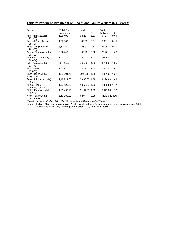| Period                                    | <b>Total Plan</b> | Health        |      | Family         |      |  |
|-------------------------------------------|-------------------|---------------|------|----------------|------|--|
|                                           | Investment        |               | %    | Welfare        | %    |  |
| First Plan (Actuals)                      | 1,960.00          | 65.20         | 3.33 | 0.10           | 0.01 |  |
| $(1951 - 56)$                             |                   |               |      |                |      |  |
| Second Plan (Actuals)<br>$(1956-61)$      | 4,672.00          | 140.80        | 3.01 | 5.00           | 0.11 |  |
| Third Plan (Actuals)<br>$(1961-66)$       | 8,576.50          | 225.90        | 2.63 | 24.90          | 0.29 |  |
| Annual Plans (Actuals)<br>$(1966-69)$     | 6,625.40          | 140.20        | 2.12 | 70.40          | 1.06 |  |
| Fourth Plan (Actuals)<br>$(1969 - 74)$    | 15,778.80         | 335.50        | 2.13 | 278.00         | 1.76 |  |
| Fifth Plan (Actuals)<br>$(1974 - 79)$     | 39,426.20         | 760.80        | 1.93 | 491.80         | 1.25 |  |
| Annual Plan<br>$(1979-80)$                | 11,650.00         | 268.20        | 2.30 | 116.20         | 1.00 |  |
| Sixth Plan (Actuals)<br>$(1980 - 85)$     | 1,09,291.70       | 2025.20       | 1.85 | 1387.00        | 1.27 |  |
| Seventh Plan (Actuals)<br>$(1985-90)$     | 2,18,729.60       | 3,688.60 1.69 |      | 3,120.80 1.43  |      |  |
| <b>Annual Plans</b><br>(1990-91, 1991-92) | 1,23,120.50       | 1,965.60 1.60 |      | 1,805.50 1.47  |      |  |
| Eighth Plan (Actuals)<br>$(1992-97)$      | 4,85,457.20       | 8,137.60 1.68 |      | 5,972.80 1.23  |      |  |
| Ninth Plan (Outlay)<br>$(1997 - 2002)$    | 8,59,200.00       | *19,374.11    | 2.25 | 15,120.20 1.76 |      |  |

*Note i) \*: Includes Outlay of Rs. 266.35 crores for the Department of ISM&H.* 

*Source :* I**ndian Planning Experience - A** Statistical Profile, *Planning Commission, GOI, New Delhi, 2000*  Ninth Five Year Plan, Planning Commission, GOI, New Delhi, 1998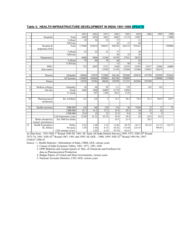|  | Table 3: HEALTH INFRASTRUCTURE DEVELOPMENT IN INDIA 1951-1998 UPDATE |  |
|--|----------------------------------------------------------------------|--|
|--|----------------------------------------------------------------------|--|

|                |                                 |                                  | 1951   | 1961   | 1971   | 1981   | 1991   | 1995   | 1996            | 1997    | 1998    |
|----------------|---------------------------------|----------------------------------|--------|--------|--------|--------|--------|--------|-----------------|---------|---------|
| 1              | Hospitals                       | Total                            | 2694   | 3054   | 3862   | 6805   | 11174  | 15097  |                 |         | 17000   |
|                |                                 | % Rural                          | 39     | 34     | 32     | 27     |        | 31     |                 |         |         |
|                |                                 | %Private                         |        |        |        | 43     | 57     | 68     |                 |         |         |
| $\overline{c}$ | Hospital &                      | Total                            | 117000 | 229634 | 348655 | 504538 | 664135 | 870161 |                 |         | 950000  |
|                | dispensary beds                 |                                  |        |        |        |        |        |        |                 |         |         |
|                |                                 | $%$ Rural                        | 23     | 22     | 21     | 17     |        | 20     |                 |         |         |
|                |                                 | $\overline{\%}$ Private          |        |        |        | 28     | 32     | 36     |                 |         |         |
| 3              | Dispensaries                    |                                  | 6600   | 9406   | 12180  | 16745  | 27431  | 28225  |                 |         |         |
|                |                                 | % Rural                          | 79     | 80     | 78     | 69     |        | 43     |                 |         |         |
|                |                                 | $\overline{\frac{9}{6}}$ Private |        |        |        | 13     | 60     | 61     |                 |         |         |
| $\overline{4}$ | <b>PHCs</b>                     |                                  | 725    | 2695   | 5131   | 5568   | 22243  | 21693  | 21917           | 22446   | 24000   |
| 5              | $\overline{\text{Sub-centres}}$ |                                  |        |        | 27929  | 51192  | 131098 | 131900 | 134931          | 136379  |         |
|                |                                 |                                  |        |        |        |        |        |        |                 |         |         |
| 6              | Doctors                         | Allopaths                        | 60840  | 83070  | 153000 | 266140 | 395600 | 459670 | 475780          | 503950  | 522634  |
|                |                                 | All Systems                      | 156000 | 184606 | 450000 | 665340 | 920000 |        |                 | 1100000 | 1155000 |
| $\overline{7}$ | Nurses                          |                                  | 16550  | 35584  | 80620  | 150399 | 311235 | 562966 | 565700          |         |         |
|                |                                 |                                  |        |        |        |        |        |        |                 |         |         |
| 8              | Medical colleges                | Allopathy                        | 30     | 60     | 98     | 111    | 128    |        | 165             | 165     |         |
| 9              | Out turn                        | Grads                            | 1600   | 3400   | 10400  | 12170  | 12086  |        |                 |         |         |
|                |                                 | P. Grads                         |        | 397    | 1396   | 3833   | 3139   |        |                 |         |         |
|                |                                 |                                  |        |        |        |        |        |        |                 |         |         |
| 10             | Pharmaceutical                  | Rs. in billion                   | 0.2    | 0.8    | 3      | 14.3   | 38.4   | 79.4   | 91.3            | 104.9   | 120.7   |
|                | production                      |                                  |        |        |        |        |        |        |                 |         |         |
|                |                                 |                                  |        |        |        |        |        |        |                 |         |         |
| 11             | Health outcomes                 | <b>IMR/000</b>                   | 134    | 146    | 138    | 110    | 80     | 74/69  | 72              | 71      | 72      |
|                |                                 | <b>CBR/000</b>                   | 41.7   | 41.2   | 37.2   | 33.9   | 29.5   | 29     | $\overline{25}$ | 24      |         |
|                |                                 | <b>CDR/000</b>                   | 22.8   | 19     | 15     | 12.5   | 9.8    | 10     | 9               | 9       |         |
|                |                                 | Life Expectancy years            | 32.08  | 41.22  | 45.55  | 54.4   | 59.4   | 62     | 62.4            | 63.5    |         |
|                | Births attended by              | Per 1000 live births             |        |        |        | 18.5   | 21.9   |        | 28.5            |         |         |
|                | trained practitioners           |                                  |        |        |        |        |        |        |                 |         |         |
| 12             | Health Expenditure              | Public                           | 0.22   | 1.08   | 3.35   | 12.86  | 50.78  | 82.17  | 101.65          | 113.13  | 126.27  |
|                | Rs. Billion                     | Private@                         | 1.05   | 3.04   | 8.15   | 43.82  | 173.60 | 233.47 |                 | 590.93  |         |
|                |                                 | CSO estimate of pvt.             |        | 2.05   | 6.18   | 29.70  | 82.61  |        |                 |         |         |

 $@$  Data from - 1951:NSS 1<sup>st</sup> Round 1949-50; 1961: SC Seals All India District Surveys, 1958; 1971: NSS 28<sup>th</sup> Round 1973-74; 1981: NSS 42<sup>nd</sup> Round 1987; 1991 and 1995: NCAER - 1990; 1995: NSS 52<sup>nd</sup> Round 1995-96; 1997:

CEHAT 1996-97

Source : 1. Health Statistics / Information of India, CBHI, GOI, various years

- 2. Census of India Economic Tables, 1961, 1971, 1981, GOI
- 3. OPPI Bulletins and Annual reports of Min. of Chemicals and Fertilisers for data on Pharmaceutical Production
- 4. Budget Papers of Central and State Governments, various years
- 5. National Accounts Statistics, CSO, GOI, various years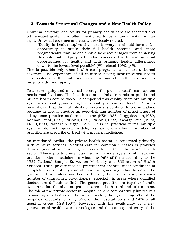## **3. Towards Structural Changes and a New Health Policy**

Universal coverage and equity for primary health care are accepted and oft repeated goals. It is often mentioned to be a fundamental human right. Universal coverage and equity are closely related.

"Equity in health implies that ideally everyone should have a fair opportunity to attain their full health potential and, more pragmatically, that no one should be disadvantaged from achieving this potential... Equity is therefore concerned with creating equal opportunities for health and with bringing health differentials down to the lowest level possible" (Whitehead,1990, p 9).

This is possible only when health care programs can assure universal coverage. The experience of all countries having near-universal health care systems is that with increased coverage of health care services inequities decline rapidly.

To assure equity and universal coverage the present health care system needs modifications. The health sector in India is a mix of public and private health care services. To compound this duality there are multiple systems - allopathy, ayurveda, homoeopathy, unani, siddha etc... Studies have shown that the multiplicity of systems is confined to training alone because in actual practice an overwhelming number of practitioners of all systems practice modern medicine (NSS-1987, Duggal&Amin,1989, Kannan et.al.,1991, NCAER,1991, NCAER,1992, George et.al.,1992, FRCH,1993, Nandraj&Duggal,1996). Thus in practical terms multiple systems do not operate widely, as an overwhelming number of practitioners prescribe or treat with modern medicines.

As mentioned earlier, the private health sector is concerned primarily with curative services. Medical care for common illnesses is provided through general practitioners, who constitute 80% of the private health sector. These practitioners, qualified in various systems of medicine, practice modern medicine - a whopping 96% of them according to the 1987 National Sample Survey on Morbidity and Utilisation of Health Services. Thus, private medical practitioners operate under conditions of complete absence of any control, monitoring and regulation by either the government or professional bodies. In fact, there are a large, unknown number of unqualified practitioners, especially in areas where qualified doctors are difficult to find. The general practitioners together handle over three-fourths of all outpatient cases in both rural and urban areas. The role of the private sector in hospital care is comparatively limited but expanding at a fast rate. The private sector, though owning 68% of the hospitals accounts for only 36% of the hospital beds and 54% of all hospital cases (NSS-1997). However, with the availability of a new generation of health care technologies and the consequent entry of the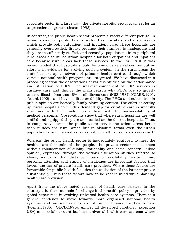corporate sector in a large way, the private hospital sector is all set for an unprecedented growth (Jesani,1993).

In contrast, the public health sector presents a vastly different picture. In urban areas the public health sector has hospitals and dispensaries which provide both outpatient and inpatient care. These hospitals are generally overcrowded; firstly, because their number is inadequate and they are insufficiently staffed, and secondly, populations from peripheral rural areas also utilise urban hospitals for both outpatient and inpatient care because rural areas lack these services. In the 1983 NHP it was recommended that hospitals should become only referral centres but no effort is in evidence for evolving such a system. In the rural areas the state has set up a network of primary health centres through which various national health programs are integrated. We have discussed in a preceding section the observations of various studies on the performance and utilisation of PHCs. The weakest component of PHC services is curative care and this is the main reason why PHCs are so grossly underutilised - less than 8% of all illness care (NSS-1987, NCAER,1991, Jesani,1992) - and have so little credibility. The PHCs and subcentres in public opinion are basically family planning centres. The effort at setting up rural hospitals to fill this demand gap for curative care is woefully slow, and is further made more difficult with the non-availability of medical personnel. Observations show that where rural hospitals are well staffed and equipped they are as crowded as the district hospitals. Thus, in comparative terms the public sector serves the urban areas better than it does the rural areas but in absolute terms even the urban population is underserved as far as public health services are concerned.

Whereas the public health sector is inadequately equipped to meet the health care demands of the people, the private sector meets them without consideration of quality, rationality and social concern. Public opinion, expressed through the various utilisation studies referred to above, indicates that distance, hours of availability, waiting time, personal attention and supply of medicines are important factors that favour the use of private health care providers. Where these factors are favourable for public health facilities the utilisation of the latter improves substantially. Thus these factors have to be kept in mind while planning health care provision.

Apart from the above noted scenario of health care services in the country a further rationale for change in the health policy is provided by global experience in evolving universal health care systems. There is a general tendency to move towards more organised national health systems and an increased share of public finance for health care (Roemer,1985, OECD,1990). Almost all developed capitalist (exception USA) and socialist countries have universal health care systems where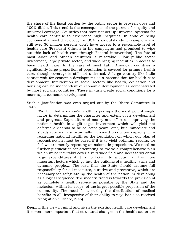the share of the fiscal burden by the public sector is between 60% and 100% (ibid.). This trend is the consequence of the pursuit for equity and universal coverage. Countries that have not set up universal systems for health care continue to experience high inequities. In spite of being economically most developed, the USA is an outstanding example where still over 30 million persons don't have access to a reasonable level of health care (President Clinton in his campaigns had promised to wipe out this lack of health care through Federal intervention). The fate of most Asian and African countries is miserable - low public sector investment, large private sector, and wide-ranging inequities in access to basic health care. In the case of most Latin American countries a significantly large proportion of population is covered for primary health care, though coverage is still not universal. A large country like India cannot wait for economic development as a precondition for health care development. Intervention in social sectors like health, education and housing can be independent of economic development as demonstrated by most socialist countries. These in turn create social conditions for a more rapid economic development.

Such a justification was even argued out by the Bhore Committee in 1946:

"We feel that a nation's health is perhaps the most potent single factor in determining the character and extent of its development and progress. Expenditure of money and effort on improving the nation's health is a gilt-edged investment which will yield not deferred dividends to be collected years later, but immediate and steady returns in substantially increased productive capacity.... In regarding national health as the foundation on which our plan of reconstruction must be based if it is to yield optimum results, we feel we are merely repeating an axiomatic proposition. We need no further justification for attempting to evolve a comprehensive plan which must inevitably cover a very wide field and necessarily entail large expenditures if it is to take into account all the more important factors which go into the building of a healthy, virile and dynamic people.... The idea that the State should assume full responsibility for all measures, curative and preventive, which are necessary for safeguarding the health of the nation, is developing as a logical sequence. The modern trend is towards the provision of as complete a health service as possible by the State and the inclusion, within its scope, of the largest possible proportion of the community. The need for assuring the distribution of medical benefits to all, irrespective of their ability to pay, has also received recognition." (Bhore,1946)

Keeping this view in mind and given the existing health care development it is even more important that structural changes in the health sector are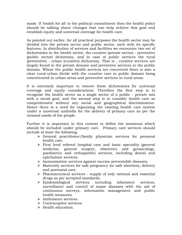made. If 'health for all' is the political commitment then the health policy should be talking about changes that can help achieve this goal and establish equity and universal coverage for health care.

As pointed out earlier, for all practical purposes the health sector may be divided into the private sector and public sector, each with its specific features. In distribution of services and facilities we encounter two set of dichotomies in the health sector, the curative (private sector) - preventive (public sector) dichotomy, and in case of public services the rural (preventive) - urban (curative) dichotomy. That is , curative services are largely found in the private domain and preventive services in the public domain. Where the public health services are concerned there is also a clear rural-urban divide with the curative care in public domain being concentrated in urban areas and preventive services in rural areas.

It is extremely important to remove these dichotomies for universal coverage and equity considerations. Therefore the first step is to recognise the health sector as a single sector of a public - private mix with a social goal, and the second step is to consider health care as comprehensive without any social and geographical discrimination. Hence there is a need for organising the existing health care system under a universal umbrella for the delivery of primary care as per the rational needs of the people.

Further it is important in this context to define the minimum which should be included under primary care. Primary care services should include at least the following:

- $\triangleright$  General practitioner/family physician services for personal health care.
- $\triangleright$  First level referral hospital care and basic speciality (general medicine, general surgery, obstetrics and gynaecology, paediatrics and orthopaedic) services, including dental and ophthalmic services.
- ¾ Immunisation services against vaccine preventable diseases.
- $\triangleright$  Maternity services for safe pregnancy (or safe abortion), delivery and postnatal care.
- $\triangleright$  Pharmaceutical services supply of only rational and essential drugs as per accepted standards.
- ¾ Epidemiological services including laboratory services, surveillance and control of major diseases with the aid of continuous surveys, information management and public health measures.
- ¾ Ambulance services.
- $\triangleright$  Contraceptive services.
- $\triangleright$  Health education.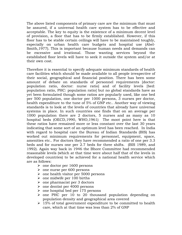The above listed components of primary care are the minimum that must be assured, if a universal health care system has to be effective and acceptable. The key to equity is the existence of a minimum decent level of provision, a floor that has to be firmly established. However, if this floor has to be stable certain ceilings will have to be maintained toughly, especially on urban health care budgets and hospital use (Abel-Smith,1977). This is important because human needs and demands can be excessive and irrational. Those wanting services beyond the established floor levels will have to seek it outside the system and/or at their own cost.

Therefore it is essential to specify adequate minimum standards of health care facilities which should be made available to all people irrespective of their social, geographical and financial position. There has been some amount of debate on standards of personnel requirements [doctor: population ratio, doctor: nurse ratio] and of facility levels [bed: population ratio, PHC: population ratio] but no global standards have as yet been formulated though some ratios are popularly used, like one bed per 500 population, one doctor per 1000 persons, 3 nurses per doctor, health expenditure to the tune of 5% of GNP etc.. Another way of viewing standards is to look at the levels of countries that already have universal systems in place. In such countries one finds that on an average per 1000 population there are 2 doctors, 5 nurses and as many as 10 hospital beds (OECD,1990, WHO,1961) The moot point here is that these ratios have remained more or less constant over the last 30 years indicating that some sort of an optimum level has been reached. In India with regard to hospital care the Bureau of Indian Standards (BIS) has worked out minimum requirements for personnel, equipment, space, amenities etc.. For doctors they have recommended a ratio of one per 3.3 beds and for nurses one per 2.7 beds for three shifts. (BIS 1989, and 1992). Again way back in 1946 the Bhore Committee had recommended reasonable levels (which at that time were about half that of the levels in developed countries) to be achieved for a national health service which are as follows:

- $\geq$  one doctor per 1600 persons
- $\geq$  one nurse per 600 persons
- $\geq$  one health visitor per 5000 persons
- $\geq$  one midwife per 100 births
- $\geq$  one pharmacist per 3 doctors
- $\geq$  one dentist per 4000 persons
- $\geq$  one hospital bed per 175 persons
- $\ge$  one PHC per 10 to 20 thousand population depending on population density and geographical area covered
- $\geq 15\%$  of total government expenditure to be committed to health care, which at that time was less than 2% of GNP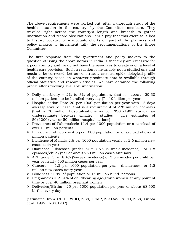The above requirements were worked out, after a thorough study of the health situation in the country, by the Committee members. They traveled right across the country's length and breadth to gather information and record observations. It is a pity that this exercise is lost to history because of inadequate efforts on part of the planners and policy makers to implement fully the recommendations of the Bhore Committee.

The first response from the government and policy makers to the question of using the above norms in India is that they are excessive for a poor country and we do not have the resources to create such a level of health care provision. Such a reaction is invariably not a studied one and needs to be corrected. Let us construct a selected epidemiological profile of the country based on whatever proximate data is available through official statistics and research studies. We have obtained the following profile after reviewing available information:

- $\triangleright$  Daily morbidity = 2% to 3% of population, that is about 20-30 million patients to be handled everyday (7 - 10 billion per year)
- $\triangleright$  Hospitalisation Rate 20 per 1000 population per year with 12 days average stay per case, that is a requirement of 228 million bed-days (that is 20 million hospitalisations as per NSS -1987 survey, an underestimate because smaller studies give estimates of 50/1000/year or 50 million hospitalisations)
- ¾ Prevalence of Tuberculosis 11.4 per 1000 population or a caseload of over 11 million patients
- ¾ Prevalence of Leprosy 4.5 per 1000 population or a caseload of over 4 million patients
- $\triangleright$  Incidence of Malaria 2.6 per 1000 population yearly or 2.6 million new cases each year
- $\triangleright$  Diarrhoeal diseases (under 5) = 7.5% (2-week incidence) or 1.8 episodes/child/year or about 250 million cases annually
- $\triangleright$  ARI (under 5) = 18.4% (2-week incidence) or 3.5 episodes per child per year or nearly 500 million cases per year
- $\geq$  Cancers = 1.5 per 1000 population per year (incidence) or 1.5 million new cases every year
- $\triangleright$  Blindness =1.4% of population or 14 million blind persons
- $\triangleright$  Pregnancies = 21.4% of childbearing age-group women at any point of time or over 40 million pregnant women
- ¾ Deliveries/Births 25 per 1000 population per year or about 68,500 births every day

(estimated from CBHI, WHO,1988, ICMR,1990<a>, NICD,1988, Gupta et.al.,1992, NSS,1987)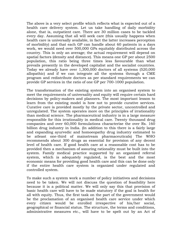The above is a very select profile which reflects what is expected out of a health care delivery system. Let us take handling of daily morbidity alone, that is, outpatient care. There are 30 million cases to be tackled every day. Assuming that all will seek care (this usually happens when health care is universally available, in fact the latter increases perception of morbidity) and that each GP can handle about 60 patients in a days work, we would need over 500,000 GPs equitably distributed across the country. This is only an average; the actual requirement will depend on spatial factors (density and distance). This means one GP per about 2500 population, this ratio being three times less favourable than what prevails presently in the developed capitalist and the socialist countries. Today we already have over 1,300,000 doctors of all systems (520,000 allopathic) and if we can integrate all the systems through a CME program and redistribute doctors as per standard requirements we can provide GP services in the ratio of one GP per 700-1000 population.

The transformation of the existing system into an organised system to meet the requirements of universality and equity will require certain hard decisions by policy-makers and planners. The most important lesson to learn from the existing model is how not to provide curative services. Curative care is provided mostly by the private sector, uncontrolled and unregulated. The system operates more on the principles of irrationality than medical science. The pharmaceutical industry is in a large measure responsible for this irrationality in medical care. Twenty thousand drug companies and over 60,000 formulations characterise the over Rs. 160 billion drug industry in India. (In addition to this there is a fairly large and expanding ayurvedic and homoeopathy drug industry estimated to be atleast one-third of mainstream pharmaceuticals) The WHO recommends about 300 drugs as essential for provision of any decent level of health care. If good health care at a reasonable cost has to be provided then a mechanism of assuring rationality must be built into the system. Family medical practice supported by an organized referral system, which is adequately regulated, is the best and the most economic means for providing good health care and this can be done only if the entire health care system is organized under regulated and controlled system.

To make such a system work a number of policy initiatives and decisions need to be taken. We will not discuss the question of feasibility here because it is a political matter. We will only say this that provision of basic health care will have to be made statutory if the goal is health for all with equity. Thus, the first task on the part of the government would be the proclamation of an organised health care service under which every citizen would be enrolled irrespective of his/her social, geographical or financial status. The structure, the terms and conditions, administrative measures etc., will have to be spelt out by an Act of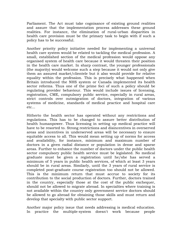Parliament. The Act must take cognisance of existing ground realities and assure that the implementation process addresses these ground realities. For instance, the elimination of rural-urban disparities in health care provision must be the primary task to begin with if such a policy has to be successful.

Another priority policy initiative needed for implementing a universal health care system would be related to tackling the medical profession. A small, established section of the medical profession would oppose any organised system of health care because it would threaten their position in the health care market. In sharp contrast, the younger professionals (the majority) would welcome such a step because it would not only give them an assured market/clientele but it also would provide for relative equality within the profession. This is precisely what happened when Britain introduced the NHS system or Canada implemented its health sector reforms. Thus one of the prime foci of such a policy should be regulating provider behaviour. This would include issues of licensing, registration, CME, compulsory public service, especially in rural areas, strict controls over outmigration of doctors, integration of various systems of medicine, standards of medical practice and hospital care etc...

Hitherto the health sector has operated without any restrictions and regulations. This has to be changed to assure better distribution of health humanpower. Thus licensing in setting up medical practice will have to be resorted to. Strong restrictions and disincentives in overserved areas and incentives in underserved areas will be necessary to ensure equitable access to all. This would mean setting up of norms for access and availability, for instance, minimum and maximum number of doctors in a given radial distance or population in dense and sparse areas. Further to enhance the number of doctors under the public health sector compulsory public health service must be legislated. No medical graduate must be given a registration until he/she has served a minimum of 5 years in public health services, of which at least 3 years should be in rural areas. Similarly, until the 3 years of rural service is completed post-graduate course registration too should not be allowed. This is the minimum return that must accrue to society for its contribution to the social production of doctors. Further, doctors trained in the country, especially those at the cost of the public exchequer, should not be allowed to migrate abroad. In specialties where training is not available within the country only government service doctors should be allowed to go abroad for obtaining those skills and must return and develop that specialty with public sector support.

Another major policy issue that needs addressing is medical education. In practice the multiple-system doesn't work because people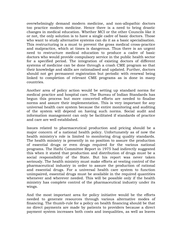overwhelmingly demand modern medicine, and non-allopathic doctors too practice modern medicine. Hence there is a need to bring drastic changes in medical education. Whether MCI or the other Councils like it or not, the only solution is to have a single cadre of basic doctors. Those who want to study alternative systems can do it as a basic specialisation. This restructuring is a must to prevent the gross medical cross-practice and malpractice, which at times is dangerous. Thus there is an urgent need to restructure medical education to produce a cadre of basic doctors who would provide compulsory service in the public health sector for a specified period. The integration of existing doctors of different systems of medicine can be done through a crash CME program so that their knowledge and skills are rationalised and updated. Further, doctors should not get permanent registration but periodic with renewal being linked to completion of relevant CME programs as is done in many countries.

Another area of policy action would be setting up standard norms for medical practice and hospital care. The Bureau of Indian Standards has begun this process but more concerted efforts are needed to finalise norms and assure their implementation. This is very important for any universal health care system because the entire monitoring and auditing of the system will depend on having such norms. Social audit and information management can only be facilitated if standards of practice and care are well established.

Issues related to pharmaceutical production and pricing should be a major concern of a national health policy. Unfortunately as of now the health ministry's role is limited to monitoring drug quality standards. The health ministry is presently in no position to assure the production of essential drugs or even drugs required for the various national programs. The Hathi Committee Report in 1975 had indirectly suggested this when it stated that production and distribution of drugs must be a social responsibility of the State. But his report was never taken seriously. The health ministry must make efforts at vesting control of the pharmaceutical industry in order to assure the production of rational and essential drugs. For a universal health care system to function unimpaired, essential drugs must be available in the required quantities whenever and wherever needed. This will be possible only if the health ministry has complete control of the pharmaceutical industry under its wings.

And the most important area for policy initiative would be the efforts needed to generate resources through various alternative modes of financing. The thumb-rule for a policy on health financing should be that no direct payments are made by patients to providers because a direct payment system increases both costs and inequalities, as well as leaves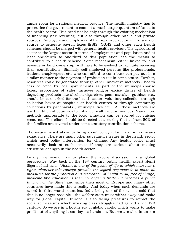ample room for irrational medical practice. The health ministry has to pressurise the government to commit a much larger quantum of funds to the health sector. This need not be only through the existing mechanism of financing (tax revenues) but also through other public and private sources. Employers and employees of the organised sector will be a major source to generate payroll taxes (ESIS, CGHS and other such health schemes should be merged with general health services). The agricultural sector is the largest sector in terms of employment and population and at least one-fourth to one-third of this population has the means to contribute to a health scheme. Some mechanism, either linked to land revenue or land ownership, will have to be evolved to facilitate receiving their contributions. Similarly self-employed persons like professionals, traders, shopkeepers, etc. who can afford to contribute can pay out in a similar manner to the payment of profession tax in some states. Further, resources could be generated through other innovative methods - health cess collected by local governments as part of the municipal/house taxes, proportion of sales turnover and/or excise duties of health degrading products like alcohol, cigarettes, paan-masalas, guthkas etc.. should be earmarked for the health sector, voluntary collection through collection boxes at hospitals or health centres or through community collections by panchayats , municipalities etc... All these methods are used in different countries to enhance health sector finances. Many more methods appropriate to the local situation can be evolved for raising resources. The effort should be directed at assuring that at least 50% of the families are covered under some statutory contribution scheme.

The issues raised above to bring about policy reform are by no means exhaustive. There are many other substantive issues in the health sector which need policy intervention for change. Any health policy must necessarily look at such issues if they are serious about making structural changes in the health sector.

Finally, we would like to place the above discussion in a global perspective. Way back in the 19th century public health expert Henri Sigerist had said "*Health is one of the goods of life to which man has a right; wherever this concept prevails the logical sequence is to make all measures for the protection and restoration of health to all, free of charge; medicine like education is then no longer a trade - it becomes a public function of the State"* and since then most of Europe and many other countries have made this a reality. And today when such demands are raised in third world countries, India being one of them, it is said that this is no longer possible - the welfare state must wither away and make way for global capital! Europe is also facing pressures to retract the socialist measures which working class struggles had gained since 19<sup>th</sup> century. So we are in a hostile era of global capital which wants to make profit out of anything it can lay its hands on. But we are also in an era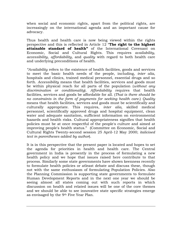when social and economic rights, apart from the political rights, are increasingly on the international agenda and an important cause for advocacy.

Thus health and health care is now being viewed within the rights perspective and this is reflected in Article 12 "**The right to the highest attainable standard of health"** of the International Covenant on Economic, Social and Cultural Rights. This requires *availability*, *accessibility*, *affordability*, and *quality* with regard to both health care and underlying preconditions of health.

*"Availability* refers to the existence of health facilities, goods and services to meet the basic health needs of the people, including, *inter alia*, hospitals and clinics, trained medical personnel, essential drugs and so forth. *Accessibility* means that health facilities, services and goods must be within physical reach for all parts of the population (*without any discrimination or conditionality*). *Affordability* requires that health facilities, services and goods be affordable for all. (*That is there should be no constraints in the form of payments for seeking health care.*) *Quality* means that health facilities, services and goods must be scientifically and culturally appropriate. This requires, *inter alia*, skilled medical personnel, scientifically approved drugs and hospital equipment, clean water and adequate sanitation, sufficient information on environmental hazards and health risks. Cultural appropriateness signifies that health policies must be at once respectful of the people's culture and aimed at improving people's health status." (Committee on Economic, Social and Cultural Rights Twenty-second session 25 April-12 May 2000; *italicised text in parentheses added by author*).

It is in this perspective that the present paper is located and hopes to set the agenda for priorities in health and health care. The Central government in India is presently in the process of formulating a new health policy and we hope that issues raised here contribute to that process. Similarly some state governments have shown keenness recently to formulate health policies or atleast debate and discuss these, though not with the same enthusiasm of formulating Population Policies. Also the Planning Commission is supporting state governments to formulate Human Development Reports and in the next one year we should be seeing almost all states coming out with such reports in which discussion on health and related issues will be one of the core themes and we should be able to see innovative state specific strategies emerge as envisaged by the 9th Five Year Plan.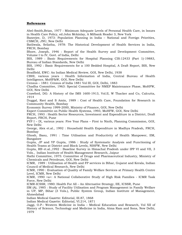#### **References**

Abel-Smith,Brian, 1977 : Minimum Adequate Levels of Personal Health Care, in Issues in Health Care Policy, ed.John Mckinlay, A Milbank Reader 3, New York

Banerjee, D, 1973: Population Planning in India – National and Foreign Priorities, CSMCH, JNU, New Delhi

Batliwala, Srilatha, 1978: The Historical Development of Health Services in India, FRCH, Bombay

Bhore, Joseph, 1946 : Report of the Health Survey and Development Committee, Volume I to IV, Govt. of India, Delhi

BIS, 1989 : Basic Requirements for Hospital Planning CIS:12433 (Part 1)-19883, Bureau of Indian Standards, New Delhi

BIS, 1992 : Basic Requirements for a 100 Bedded Hospital, A Draft Report, BIS, New Delhi

Bradfield, EWC: An Indian Medical Review, GOI, New Delhi, 1938

CBHI, various years : Health Information of India, Central Bureau of Health Intelligence, MoHF&W, GOI, New Delhi

Census – 1881: Census of India 1881 Vol III, GOI, Delhi, 1883

Chadha Committee, 1963: Special Committtee for NMEP Maintenance Phase, MoHFW, GOI, New Delhi

Crawford, DG: A History of the IMS 1600-1913, Vol.II, W Thacker and Co, Calcutta, 1914

Duggal, Ravi and S Amin, 1989 : Cost of Health Care, Foundation for Research in Community Health, Bombay

Economic Survey 1999-2000, Ministry of Finance, GOI, New Delhi

Expert Committee on Public Health Systems, 1993, MoHFW, GOI, New Delhi

FRCH, 1993 : Health Sector Resources, Investment and Expenditure in a District, Draft Report, FRCH, Pune

FYP I – IX, various years: Five Year Plans – First to Ninth, Planning Commission, GOI, New Delhi

George, Alex et.al., 1992 : Household Health Expenditure in Madhya Pradesh, FRCH, Bombay

Ghosh, Basu, 1991 : Time Utilisation and Productivity of Health Manpower, IIM, Bangalore

Gupta, JP and YP Gupta, 1986 : Study of Systematic Analysis and Functioning of Health Teams at District and Block Levels, NIHFW, New Delhi

Gupta, RB et.al.,1992 : Baseline Survey in Himachal Pradesh under IPP VI and VII, 3 Vols., Indian Institute of Health Management Research, Jaipur

Hathi Committee, 1975: Committee of Drugs and Pharmaceutical Industry, Ministry of Chemicals and Petroleum, GOI, New Delhi

ICMR, 1989 : Utilisation of Health and FP services in Bihar, Gujarat and Kerala, Indian Council of Medical Research, New Delhi

ICMR, 1990 : Evaluation of Quality of Family Welfare Services at Primary Health Centre Level, ICMR, New Delhi

ICMR, 1990 <a>: A National Collaborative Study of High Risk Families - ICMR Task Force, New Delhi

ICMR-ICSSR, 1980: Health For All – An Alternative Strategy, IIE, ICSSR, Pune

IIM (A), 1985 : Study of Facility Utilisation and Program Management in Family Welfare in UP, MP, Bihar (3 Vols.), Public System Group, Indian Institute of Management, Ahmedabad

Indian Medical Gazette: Editorial, III.87, 1868

Indian Medical Gazette: Editorial, VI.214, 1871

Jaggi, O.P.: Western Medicine in India – Medical Education and Research, Vol XII of History of Science, Technology and Medicine in India, Atma Ram and Sons, New Delhi, 1979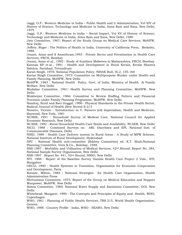Jaggi, O.P.: Western Medicine in India – Public Health and it Administration, Vol XIV of History of Science, Technology and Medicine in India, Atma Ram and Sons, New Delhi, 1979

Jaggi, O.P.: Western Medicine in India – Social Impact, Vol XV of History of Science, Technology and Medicine in India, Atma Ram and Sons, New Delhi, 1980

Jain Committee, 1967: Report of the Study Group on Medical Care Services, MoHFW, New Delhi

Jeffery, Roger : The Politics of Health in India, University of California Press, Berkeley, 1988.

Jesani, Amar and S Ananthram,1993 : Private Sector and Privatisation in Health Care Services, FRCH, Bombay

Jesani, Amar et.al., 1992 : Study of Auxiliary Midwives in Maharashtra, FRCH, Bombay Kannan KP et.al., 1991 : Health and Development in Rural Kerala, Kerala Shastra Sahitya Parishad, Trivandrum

Karan Singh, 1976: National Population Policy, NIHAE Bull, IX,2, 155-160

Kartar Singh Committee, 1973: Committee on Multipurpose Worker under Health and Family Planning, MoHFW, New Delhi

MoHFW, 1983 : National Health Policy, Govt. of India, Ministry of Health & Family Welfare, New Delhi

Mudaliar Committee, 1961: Health Survey and Planning Committee, MoHFW, New Delhi

Mukherjee Committee, 1966: Committee to Review Staffing Pattern and Financial Provision under Family Planning Programme, MoHFW, New Delhi

Nandraj, Sunil and Ravi Duggal, 1996 : Physical Standards in the Private Health Sector, Radical Journal of Health (New Series) II-2/3

Navarro, Vicente : 'Introduction' in V. Navarro (ed) Imperialism, Health and Medicine, Baywood, New York, 1981

NCAER, 1991 : Household Survey of Medical Care, National Council for Applied Economic Research, New Delhi

NCAER, 1992 : Rural Household Health Care Needs and Availability, NCAER, New Delhi NICD, 1988 : Combined Surveys on ARI, Diarrhoea and EPI, National Inst. of Communicable Diseases, Delhi

NIRD, 1989 : Health Care Delivery system in Rural Areas - A Study of MPW Scheme, National Institute of Rural Development, Hyderabad

NPC : National Health sub-committee (Sokhey Committee) ed. K.T. Shah,National Planning Committee, Vora & Co., Bombay, 1948.

NSS-1987 : Morbidity and Utilisation of Medical Services, 42nd Round, Report No. 384, National Sample Survey Organisation, New Delhi

NSS-1997 : Report No. 441, 52nd Round, NSSO, New Delhi

NTI, 1988 : Report of the Baseline Survey Danida Health Care Project 2 Vols., NTI, Bangalore

OECD, 1990 : Health Systems in Transition, Organisation for Economic Cooperation and Development, Paris

Roemer, Milton, 1985 : National Strategies for Health Care Organisation, Health Administration Press

Shrivastava Committee, 1975: Report of the Group on Medical Education and Support Manpower, MoHFW, New Delhi

Simon Committee, 1960: National Water Supply and Sanitation Committee, GOI, New Delhi

Whitehead, Margaret, 1990 : The Concepts and Principles of Equity and Health, WHO, Copenhagen

WHO, 1961 : Planning of Public Health Services, TRS 215, World Health Organisation, Geneva

WHO, 1988 : Country Profile - India, WHO - SEARO, New Delhi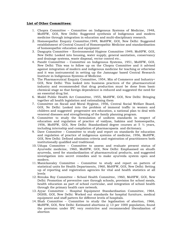#### **List of Other Committees:**

- 1. Chopra Committee Committee on Indigenous Systems of Medicine, 1948, MoHFW, GOI, New Delhi: Suggested synthesis of Indigenous and modern medicine through integration in education and multi-disciplinary research.
- 2. Homoeopathic Enquiry Committee,1949, MoHFW, GOI, New Delhi: Suggested establishment of Central Council of Homoeopathic Medicine and standardisation of homoeopathic education and equipment
- 3. Dasgupta Committee Environmental Hygiene Committee 1949, MoHFW, GOI, New Delhi: Looked into housing, water supply, general sanitation, conservancy and drainage systems, waste disposal, vector control etc..
- 4. Pandit Committtee Committee on Indigenous Systems, 1951, MoHFW, GOI, New Delhi: This was to follow up on the Chopra Committee and it advised against integration of modern and indigenous medicine for teaching or otherwise and it was instrumental in setting up the Jamnagar based Central Research Institute in Indigenous Systems of Medicine.
- 5. The Pharmaceutical Enquiry Committee, 1954, Min of Commerce and Industry< GOI, New Delhi: This looked into business practices of the pharmaceutical industry and recommended that drug production must be done from basic chemical stage so that foreign dependence is reduced and suggested the need for an essential drug list.
- 6. Model Public Health Act Committee, 1955, MoHFW, GOI, New Delhi: Bringing together all health legislation and rationalising them
- 7. Committee on Socail and Moral Hygiene, 1956, Central Social Welfare Board, GOI, Ne Delhi: Looked into the problem of immoral traffic in women and children and suggested progressive sex education, a national plan to deal with venereal diseases and strengthening of the family planning program.
- 8. Committee to study the formulation of uniform standards in respect of education and regulation of practice of vaidyas, hakims and homoeopaths, 1956, MoHFW, GOI, New Delhi: Standardised degree courses at 5  $\frac{1}{2}$  years, including internship and compilation of pharmacopaeia and dictionary.
- 9. Dave Committee Committee to study and report on standards for education and regulation of practice of indigenous systems of medicine, 1956, MoHFW, GOI, New Delhi: Defined admission criteria and registration of practitioners both institutionally qualified and traditional.
- 10. Udupa Committee Committee to assess and evaluate present status of Ayurvedic medicine, 1960, MoHFW, GOI, New Delhi: Emphasised on shudh ayurveda, need for standardization of pharmaceutical products, and suggested investigation into secret remedies and to make ayurveda system open and modern.
- 11. Manickavaley Committee Committee to study and report on pattern of statistical units for Health Departments, 1960, MoHFW, GOI, New Delhi: Setting up of reporting and registration agencies for vital and health statistics at all levels
- 12. Renuka Roy Committee School Health Committee, 1960, MoHFW, GOI, New Delhi: Promotion of preventive care through schools, provision for school meals, health education as part of school curricular, and integration of school health through the primary health care network.
- 13. Ayyar Committee Hospital Equipment Standardisation Committee, 1964, DGHS, GOI, New Delhi: Worked out standards for hospital furniture, medical equipment and staff pattern for different levels of hospitals.
- 14. Shah Committee Committee to study the legalisation of abortion, 1966, MoHFW, GOI, New Delhi: Estimated abortions  $@13$  per 1000 population, found the provision under IPC very restrictive and recommended liberalization of abortion